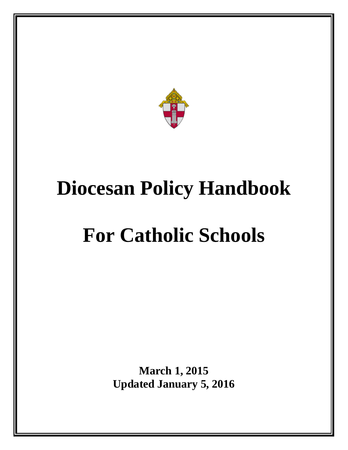

# **Diocesan Policy Handbook**

# **For Catholic Schools**

**March 1, 2015 Updated January 5, 2016**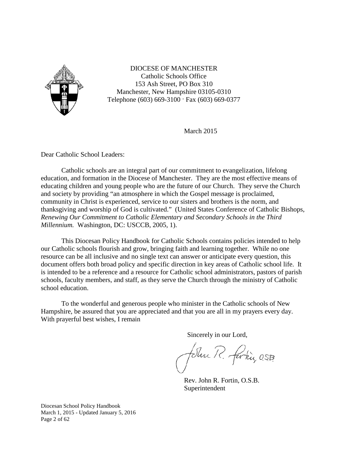

DIOCESE OF MANCHESTER Catholic Schools Office 153 Ash Street, PO Box 310 Manchester, New Hampshire 03105-0310 Telephone (603) 669-3100 · Fax (603) 669-0377

March 2015

Dear Catholic School Leaders:

Catholic schools are an integral part of our commitment to evangelization, lifelong education, and formation in the Diocese of Manchester. They are the most effective means of educating children and young people who are the future of our Church. They serve the Church and society by providing "an atmosphere in which the Gospel message is proclaimed, community in Christ is experienced, service to our sisters and brothers is the norm, and thanksgiving and worship of God is cultivated." (United States Conference of Catholic Bishops, *Renewing Our Commitment to Catholic Elementary and Secondary Schools in the Third Millennium.* Washington, DC: USCCB, 2005, 1).

This Diocesan Policy Handbook for Catholic Schools contains policies intended to help our Catholic schools flourish and grow, bringing faith and learning together. While no one resource can be all inclusive and no single text can answer or anticipate every question, this document offers both broad policy and specific direction in key areas of Catholic school life. It is intended to be a reference and a resource for Catholic school administrators, pastors of parish schools, faculty members, and staff, as they serve the Church through the ministry of Catholic school education.

To the wonderful and generous people who minister in the Catholic schools of New Hampshire, be assured that you are appreciated and that you are all in my prayers every day. With prayerful best wishes, I remain

Sincerely in our Lord,

Felin R. farkin, OSB.

 Rev. John R. Fortin, O.S.B. Superintendent

Diocesan School Policy Handbook March 1, 2015 - Updated January 5, 2016 Page 2 of 62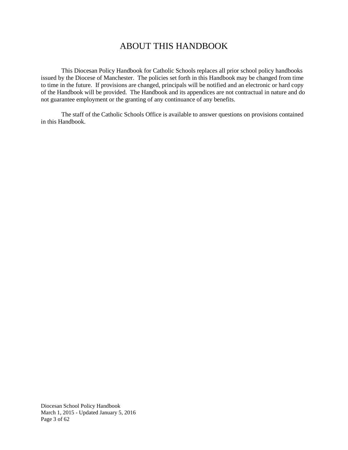## ABOUT THIS HANDBOOK

This Diocesan Policy Handbook for Catholic Schools replaces all prior school policy handbooks issued by the Diocese of Manchester. The policies set forth in this Handbook may be changed from time to time in the future. If provisions are changed, principals will be notified and an electronic or hard copy of the Handbook will be provided. The Handbook and its appendices are not contractual in nature and do not guarantee employment or the granting of any continuance of any benefits.

The staff of the Catholic Schools Office is available to answer questions on provisions contained in this Handbook.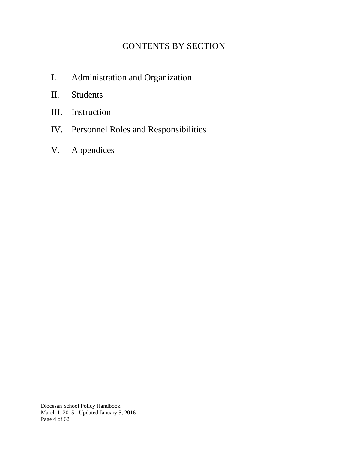# CONTENTS BY SECTION

- I. Administration and Organization
- II. Students
- III. Instruction
- IV. Personnel Roles and Responsibilities
- V. Appendices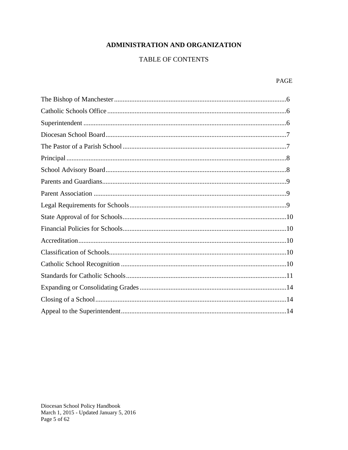## ADMINISTRATION AND ORGANIZATION

## **TABLE OF CONTENTS**

#### PAGE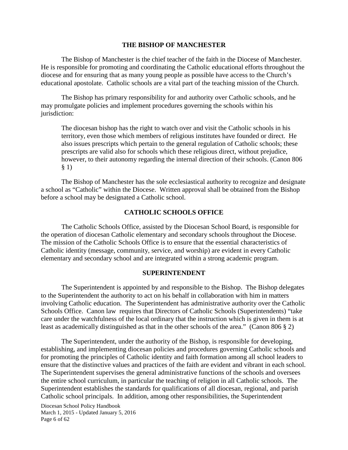#### **THE BISHOP OF MANCHESTER**

The Bishop of Manchester is the chief teacher of the faith in the Diocese of Manchester. He is responsible for promoting and coordinating the Catholic educational efforts throughout the diocese and for ensuring that as many young people as possible have access to the Church's educational apostolate. Catholic schools are a vital part of the teaching mission of the Church.

The Bishop has primary responsibility for and authority over Catholic schools, and he may promulgate policies and implement procedures governing the schools within his jurisdiction:

The diocesan bishop has the right to watch over and visit the Catholic schools in his territory, even those which members of religious institutes have founded or direct. He also issues prescripts which pertain to the general regulation of Catholic schools; these prescripts are valid also for schools which these religious direct, without prejudice, however, to their autonomy regarding the internal direction of their schools. (Canon 806 § 1)

The Bishop of Manchester has the sole ecclesiastical authority to recognize and designate a school as "Catholic" within the Diocese. Written approval shall be obtained from the Bishop before a school may be designated a Catholic school.

## **CATHOLIC SCHOOLS OFFICE**

The Catholic Schools Office, assisted by the Diocesan School Board, is responsible for the operation of diocesan Catholic elementary and secondary schools throughout the Diocese. The mission of the Catholic Schools Office is to ensure that the essential characteristics of Catholic identity (message, community, service, and worship) are evident in every Catholic elementary and secondary school and are integrated within a strong academic program.

#### **SUPERINTENDENT**

The Superintendent is appointed by and responsible to the Bishop. The Bishop delegates to the Superintendent the authority to act on his behalf in collaboration with him in matters involving Catholic education. The Superintendent has administrative authority over the Catholic Schools Office. Canon law requires that Directors of Catholic Schools (Superintendents) "take care under the watchfulness of the local ordinary that the instruction which is given in them is at least as academically distinguished as that in the other schools of the area." (Canon 806 § 2)

The Superintendent, under the authority of the Bishop, is responsible for developing, establishing, and implementing diocesan policies and procedures governing Catholic schools and for promoting the principles of Catholic identity and faith formation among all school leaders to ensure that the distinctive values and practices of the faith are evident and vibrant in each school. The Superintendent supervises the general administrative functions of the schools and oversees the entire school curriculum, in particular the teaching of religion in all Catholic schools. The Superintendent establishes the standards for qualifications of all diocesan, regional, and parish Catholic school principals. In addition, among other responsibilities, the Superintendent

Diocesan School Policy Handbook March 1, 2015 - Updated January 5, 2016 Page 6 of 62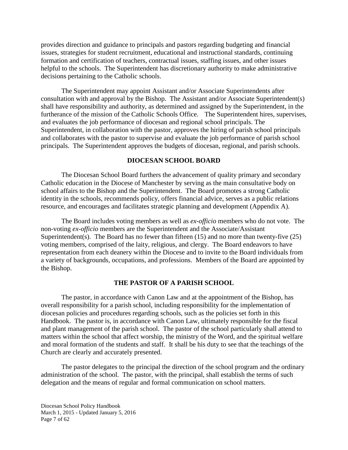provides direction and guidance to principals and pastors regarding budgeting and financial issues, strategies for student recruitment, educational and instructional standards, continuing formation and certification of teachers, contractual issues, staffing issues, and other issues helpful to the schools. The Superintendent has discretionary authority to make administrative decisions pertaining to the Catholic schools.

The Superintendent may appoint Assistant and/or Associate Superintendents after consultation with and approval by the Bishop. The Assistant and/or Associate Superintendent(s) shall have responsibility and authority, as determined and assigned by the Superintendent, in the furtherance of the mission of the Catholic Schools Office. The Superintendent hires, supervises, and evaluates the job performance of diocesan and regional school principals. The Superintendent, in collaboration with the pastor, approves the hiring of parish school principals and collaborates with the pastor to supervise and evaluate the job performance of parish school principals. The Superintendent approves the budgets of diocesan, regional, and parish schools.

## **DIOCESAN SCHOOL BOARD**

The Diocesan School Board furthers the advancement of quality primary and secondary Catholic education in the Diocese of Manchester by serving as the main consultative body on school affairs to the Bishop and the Superintendent. The Board promotes a strong Catholic identity in the schools, recommends policy, offers financial advice, serves as a public relations resource, and encourages and facilitates strategic planning and development (Appendix A).

The Board includes voting members as well as *ex-officio* members who do not vote. The non-voting *ex-officio* members are the Superintendent and the Associate/Assistant Superintendent(s). The Board has no fewer than fifteen  $(15)$  and no more than twenty-five  $(25)$ voting members, comprised of the laity, religious, and clergy. The Board endeavors to have representation from each deanery within the Diocese and to invite to the Board individuals from a variety of backgrounds, occupations, and professions. Members of the Board are appointed by the Bishop.

#### **THE PASTOR OF A PARISH SCHOOL**

The pastor, in accordance with Canon Law and at the appointment of the Bishop, has overall responsibility for a parish school, including responsibility for the implementation of diocesan policies and procedures regarding schools, such as the policies set forth in this Handbook. The pastor is, in accordance with Canon Law, ultimately responsible for the fiscal and plant management of the parish school. The pastor of the school particularly shall attend to matters within the school that affect worship, the ministry of the Word, and the spiritual welfare and moral formation of the students and staff. It shall be his duty to see that the teachings of the Church are clearly and accurately presented.

The pastor delegates to the principal the direction of the school program and the ordinary administration of the school. The pastor, with the principal, shall establish the terms of such delegation and the means of regular and formal communication on school matters.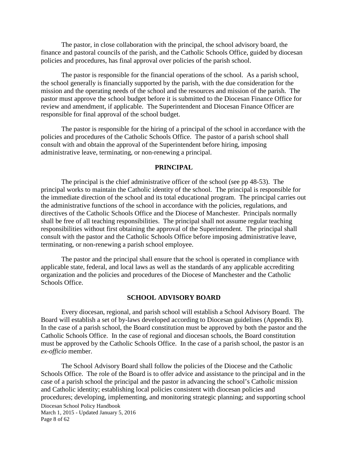The pastor, in close collaboration with the principal, the school advisory board, the finance and pastoral councils of the parish, and the Catholic Schools Office, guided by diocesan policies and procedures, has final approval over policies of the parish school.

The pastor is responsible for the financial operations of the school. As a parish school, the school generally is financially supported by the parish, with the due consideration for the mission and the operating needs of the school and the resources and mission of the parish. The pastor must approve the school budget before it is submitted to the Diocesan Finance Office for review and amendment, if applicable. The Superintendent and Diocesan Finance Officer are responsible for final approval of the school budget.

The pastor is responsible for the hiring of a principal of the school in accordance with the policies and procedures of the Catholic Schools Office. The pastor of a parish school shall consult with and obtain the approval of the Superintendent before hiring, imposing administrative leave, terminating, or non-renewing a principal.

#### **PRINCIPAL**

The principal is the chief administrative officer of the school (see pp 48-53). The principal works to maintain the Catholic identity of the school. The principal is responsible for the immediate direction of the school and its total educational program. The principal carries out the administrative functions of the school in accordance with the policies, regulations, and directives of the Catholic Schools Office and the Diocese of Manchester. Principals normally shall be free of all teaching responsibilities. The principal shall not assume regular teaching responsibilities without first obtaining the approval of the Superintendent. The principal shall consult with the pastor and the Catholic Schools Office before imposing administrative leave, terminating, or non-renewing a parish school employee.

The pastor and the principal shall ensure that the school is operated in compliance with applicable state, federal, and local laws as well as the standards of any applicable accrediting organization and the policies and procedures of the Diocese of Manchester and the Catholic Schools Office.

#### **SCHOOL ADVISORY BOARD**

Every diocesan, regional, and parish school will establish a School Advisory Board. The Board will establish a set of by-laws developed according to Diocesan guidelines (Appendix B). In the case of a parish school, the Board constitution must be approved by both the pastor and the Catholic Schools Office. In the case of regional and diocesan schools, the Board constitution must be approved by the Catholic Schools Office. In the case of a parish school, the pastor is an *ex-officio* member.

Diocesan School Policy Handbook March 1, 2015 - Updated January 5, 2016 Page 8 of 62 The School Advisory Board shall follow the policies of the Diocese and the Catholic Schools Office. The role of the Board is to offer advice and assistance to the principal and in the case of a parish school the principal and the pastor in advancing the school's Catholic mission and Catholic identity; establishing local policies consistent with diocesan policies and procedures; developing, implementing, and monitoring strategic planning; and supporting school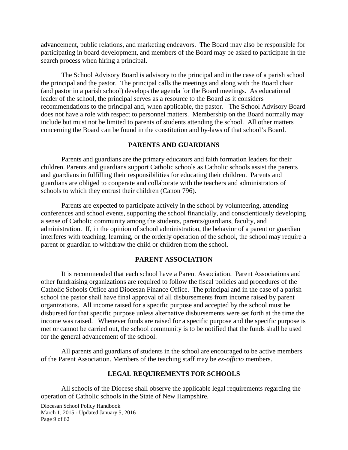advancement, public relations, and marketing endeavors. The Board may also be responsible for participating in board development, and members of the Board may be asked to participate in the search process when hiring a principal.

The School Advisory Board is advisory to the principal and in the case of a parish school the principal and the pastor. The principal calls the meetings and along with the Board chair (and pastor in a parish school) develops the agenda for the Board meetings. As educational leader of the school, the principal serves as a resource to the Board as it considers recommendations to the principal and, when applicable, the pastor. The School Advisory Board does not have a role with respect to personnel matters. Membership on the Board normally may include but must not be limited to parents of students attending the school. All other matters concerning the Board can be found in the constitution and by-laws of that school's Board.

## **PARENTS AND GUARDIANS**

Parents and guardians are the primary educators and faith formation leaders for their children. Parents and guardians support Catholic schools as Catholic schools assist the parents and guardians in fulfilling their responsibilities for educating their children. Parents and guardians are obliged to cooperate and collaborate with the teachers and administrators of schools to which they entrust their children (Canon 796).

Parents are expected to participate actively in the school by volunteering, attending conferences and school events, supporting the school financially, and conscientiously developing a sense of Catholic community among the students, parents/guardians, faculty, and administration. If, in the opinion of school administration, the behavior of a parent or guardian interferes with teaching, learning, or the orderly operation of the school, the school may require a parent or guardian to withdraw the child or children from the school.

## **PARENT ASSOCIATION**

It is recommended that each school have a Parent Association. Parent Associations and other fundraising organizations are required to follow the fiscal policies and procedures of the Catholic Schools Office and Diocesan Finance Office. The principal and in the case of a parish school the pastor shall have final approval of all disbursements from income raised by parent organizations. All income raised for a specific purpose and accepted by the school must be disbursed for that specific purpose unless alternative disbursements were set forth at the time the income was raised. Whenever funds are raised for a specific purpose and the specific purpose is met or cannot be carried out, the school community is to be notified that the funds shall be used for the general advancement of the school.

All parents and guardians of students in the school are encouraged to be active members of the Parent Association. Members of the teaching staff may be *ex-officio* members.

#### **LEGAL REQUIREMENTS FOR SCHOOLS**

All schools of the Diocese shall observe the applicable legal requirements regarding the operation of Catholic schools in the State of New Hampshire.

Diocesan School Policy Handbook March 1, 2015 - Updated January 5, 2016 Page 9 of 62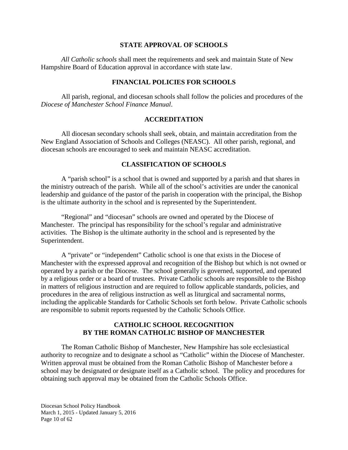## **STATE APPROVAL OF SCHOOLS**

*All Catholic schools* shall meet the requirements and seek and maintain State of New Hampshire Board of Education approval in accordance with state law.

## **FINANCIAL POLICIES FOR SCHOOLS**

All parish, regional, and diocesan schools shall follow the policies and procedures of the *Diocese of Manchester School Finance Manual*.

#### **ACCREDITATION**

All diocesan secondary schools shall seek, obtain, and maintain accreditation from the New England Association of Schools and Colleges (NEASC). All other parish, regional, and diocesan schools are encouraged to seek and maintain NEASC accreditation.

## **CLASSIFICATION OF SCHOOLS**

A "parish school" is a school that is owned and supported by a parish and that shares in the ministry outreach of the parish. While all of the school's activities are under the canonical leadership and guidance of the pastor of the parish in cooperation with the principal, the Bishop is the ultimate authority in the school and is represented by the Superintendent.

"Regional" and "diocesan" schools are owned and operated by the Diocese of Manchester. The principal has responsibility for the school's regular and administrative activities. The Bishop is the ultimate authority in the school and is represented by the Superintendent.

A "private" or "independent" Catholic school is one that exists in the Diocese of Manchester with the expressed approval and recognition of the Bishop but which is not owned or operated by a parish or the Diocese. The school generally is governed, supported, and operated by a religious order or a board of trustees. Private Catholic schools are responsible to the Bishop in matters of religious instruction and are required to follow applicable standards, policies, and procedures in the area of religious instruction as well as liturgical and sacramental norms, including the applicable Standards for Catholic Schools set forth below. Private Catholic schools are responsible to submit reports requested by the Catholic Schools Office.

## **CATHOLIC SCHOOL RECOGNITION BY THE ROMAN CATHOLIC BISHOP OF MANCHESTER**

The Roman Catholic Bishop of Manchester, New Hampshire has sole ecclesiastical authority to recognize and to designate a school as "Catholic" within the Diocese of Manchester. Written approval must be obtained from the Roman Catholic Bishop of Manchester before a school may be designated or designate itself as a Catholic school. The policy and procedures for obtaining such approval may be obtained from the Catholic Schools Office.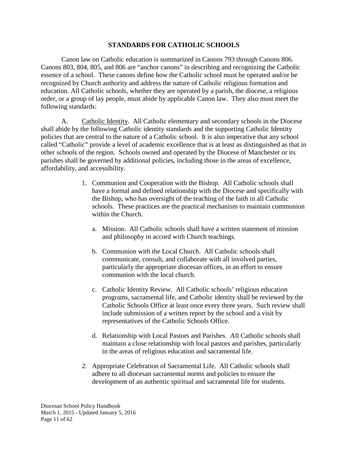## **STANDARDS FOR CATHOLIC SCHOOLS**

Canon law on Catholic education is summarized in Canons 793 through Canons 806. Canons 803, 804, 805, and 806 are "anchor canons" in describing and recognizing the Catholic essence of a school. These canons define how the Catholic school must be operated and/or be recognized by Church authority and address the nature of Catholic religious formation and education. All Catholic schools, whether they are operated by a parish, the diocese, a religious order, or a group of lay people, must abide by applicable Canon law. They also must meet the following standards:

A. Catholic Identity. All Catholic elementary and secondary schools in the Diocese shall abide by the following Catholic identity standards and the supporting Catholic Identity policies that are central to the nature of a Catholic school. It is also imperative that any school called "Catholic" provide a level of academic excellence that is at least as distinguished as that in other schools of the region. Schools owned and operated by the Diocese of Manchester or its parishes shall be governed by additional policies, including those in the areas of excellence, affordability, and accessibility.

- 1. Communion and Cooperation with the Bishop. All Catholic schools shall have a formal and defined relationship with the Diocese and specifically with the Bishop, who has oversight of the teaching of the faith in all Catholic schools. These practices are the practical mechanism to maintain communion within the Church.
	- a. Mission. All Catholic schools shall have a written statement of mission and philosophy in accord with Church teachings.
	- b. Communion with the Local Church. All Catholic schools shall communicate, consult, and collaborate with all involved parties, particularly the appropriate diocesan offices, in an effort to ensure communion with the local church.
	- c. Catholic Identity Review. All Catholic schools' religious education programs, sacramental life, and Catholic identity shall be reviewed by the Catholic Schools Office at least once every three years. Such review shall include submission of a written report by the school and a visit by representatives of the Catholic Schools Office.
	- d. Relationship with Local Pastors and Parishes. All Catholic schools shall maintain a close relationship with local pastors and parishes, particularly in the areas of religious education and sacramental life.
- 2. Appropriate Celebration of Sacramental Life. All Catholic schools shall adhere to all diocesan sacramental norms and policies to ensure the development of an authentic spiritual and sacramental life for students.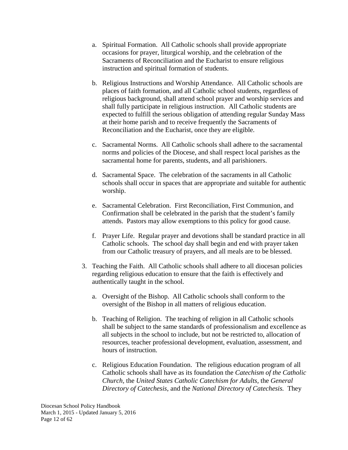- a. Spiritual Formation. All Catholic schools shall provide appropriate occasions for prayer, liturgical worship, and the celebration of the Sacraments of Reconciliation and the Eucharist to ensure religious instruction and spiritual formation of students.
- b. Religious Instructions and Worship Attendance. All Catholic schools are places of faith formation, and all Catholic school students, regardless of religious background, shall attend school prayer and worship services and shall fully participate in religious instruction. All Catholic students are expected to fulfill the serious obligation of attending regular Sunday Mass at their home parish and to receive frequently the Sacraments of Reconciliation and the Eucharist, once they are eligible.
- c. Sacramental Norms. All Catholic schools shall adhere to the sacramental norms and policies of the Diocese, and shall respect local parishes as the sacramental home for parents, students, and all parishioners.
- d. Sacramental Space. The celebration of the sacraments in all Catholic schools shall occur in spaces that are appropriate and suitable for authentic worship.
- e. Sacramental Celebration. First Reconciliation, First Communion, and Confirmation shall be celebrated in the parish that the student's family attends. Pastors may allow exemptions to this policy for good cause.
- f. Prayer Life. Regular prayer and devotions shall be standard practice in all Catholic schools. The school day shall begin and end with prayer taken from our Catholic treasury of prayers, and all meals are to be blessed.
- 3. Teaching the Faith. All Catholic schools shall adhere to all diocesan policies regarding religious education to ensure that the faith is effectively and authentically taught in the school.
	- a. Oversight of the Bishop. All Catholic schools shall conform to the oversight of the Bishop in all matters of religious education.
	- b. Teaching of Religion. The teaching of religion in all Catholic schools shall be subject to the same standards of professionalism and excellence as all subjects in the school to include, but not be restricted to, allocation of resources, teacher professional development, evaluation, assessment, and hours of instruction.
	- c. Religious Education Foundation. The religious education program of all Catholic schools shall have as its foundation the *Catechism of the Catholic Church,* the *United States Catholic Catechism for Adults,* the *General Directory of Catechesis*, and the *National Directory of Catechesis.* They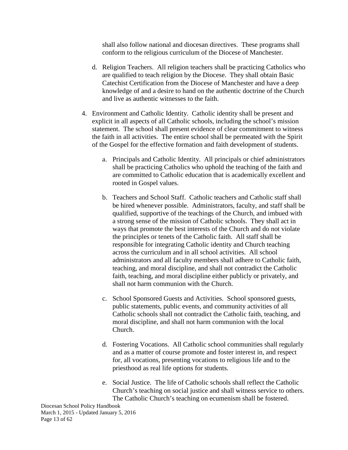shall also follow national and diocesan directives. These programs shall conform to the religious curriculum of the Diocese of Manchester.

- d. Religion Teachers. All religion teachers shall be practicing Catholics who are qualified to teach religion by the Diocese. They shall obtain Basic Catechist Certification from the Diocese of Manchester and have a deep knowledge of and a desire to hand on the authentic doctrine of the Church and live as authentic witnesses to the faith.
- 4. Environment and Catholic Identity. Catholic identity shall be present and explicit in all aspects of all Catholic schools, including the school's mission statement. The school shall present evidence of clear commitment to witness the faith in all activities. The entire school shall be permeated with the Spirit of the Gospel for the effective formation and faith development of students.
	- a. Principals and Catholic Identity. All principals or chief administrators shall be practicing Catholics who uphold the teaching of the faith and are committed to Catholic education that is academically excellent and rooted in Gospel values.
	- b. Teachers and School Staff. Catholic teachers and Catholic staff shall be hired whenever possible. Administrators, faculty, and staff shall be qualified, supportive of the teachings of the Church, and imbued with a strong sense of the mission of Catholic schools. They shall act in ways that promote the best interests of the Church and do not violate the principles or tenets of the Catholic faith. All staff shall be responsible for integrating Catholic identity and Church teaching across the curriculum and in all school activities. All school administrators and all faculty members shall adhere to Catholic faith, teaching, and moral discipline, and shall not contradict the Catholic faith, teaching, and moral discipline either publicly or privately, and shall not harm communion with the Church.
	- c. School Sponsored Guests and Activities. School sponsored guests, public statements, public events, and community activities of all Catholic schools shall not contradict the Catholic faith, teaching, and moral discipline, and shall not harm communion with the local Church.
	- d. Fostering Vocations. All Catholic school communities shall regularly and as a matter of course promote and foster interest in, and respect for, all vocations, presenting vocations to religious life and to the priesthood as real life options for students.
	- e. Social Justice. The life of Catholic schools shall reflect the Catholic Church's teaching on social justice and shall witness service to others. The Catholic Church's teaching on ecumenism shall be fostered.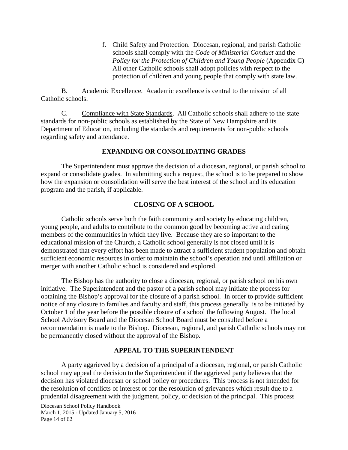f. Child Safety and Protection. Diocesan, regional, and parish Catholic schools shall comply with the *Code of Ministerial Conduct* and the *Policy for the Protection of Children and Young People* (Appendix C) All other Catholic schools shall adopt policies with respect to the protection of children and young people that comply with state law.

B. Academic Excellence. Academic excellence is central to the mission of all Catholic schools.

C. Compliance with State Standards. All Catholic schools shall adhere to the state standards for non-public schools as established by the State of New Hampshire and its Department of Education, including the standards and requirements for non-public schools regarding safety and attendance.

## **EXPANDING OR CONSOLIDATING GRADES**

The Superintendent must approve the decision of a diocesan, regional, or parish school to expand or consolidate grades. In submitting such a request, the school is to be prepared to show how the expansion or consolidation will serve the best interest of the school and its education program and the parish, if applicable.

## **CLOSING OF A SCHOOL**

Catholic schools serve both the faith community and society by educating children, young people, and adults to contribute to the common good by becoming active and caring members of the communities in which they live. Because they are so important to the educational mission of the Church, a Catholic school generally is not closed until it is demonstrated that every effort has been made to attract a sufficient student population and obtain sufficient economic resources in order to maintain the school's operation and until affiliation or merger with another Catholic school is considered and explored.

The Bishop has the authority to close a diocesan, regional, or parish school on his own initiative. The Superintendent and the pastor of a parish school may initiate the process for obtaining the Bishop's approval for the closure of a parish school. In order to provide sufficient notice of any closure to families and faculty and staff, this process generally is to be initiated by October 1 of the year before the possible closure of a school the following August. The local School Advisory Board and the Diocesan School Board must be consulted before a recommendation is made to the Bishop. Diocesan, regional, and parish Catholic schools may not be permanently closed without the approval of the Bishop.

## **APPEAL TO THE SUPERINTENDENT**

A party aggrieved by a decision of a principal of a diocesan, regional, or parish Catholic school may appeal the decision to the Superintendent if the aggrieved party believes that the decision has violated diocesan or school policy or procedures. This process is not intended for the resolution of conflicts of interest or for the resolution of grievances which result due to a prudential disagreement with the judgment, policy, or decision of the principal. This process

Diocesan School Policy Handbook March 1, 2015 - Updated January 5, 2016 Page 14 of 62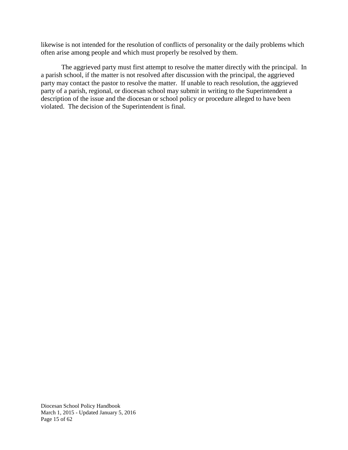likewise is not intended for the resolution of conflicts of personality or the daily problems which often arise among people and which must properly be resolved by them.

The aggrieved party must first attempt to resolve the matter directly with the principal. In a parish school, if the matter is not resolved after discussion with the principal, the aggrieved party may contact the pastor to resolve the matter. If unable to reach resolution, the aggrieved party of a parish, regional, or diocesan school may submit in writing to the Superintendent a description of the issue and the diocesan or school policy or procedure alleged to have been violated. The decision of the Superintendent is final.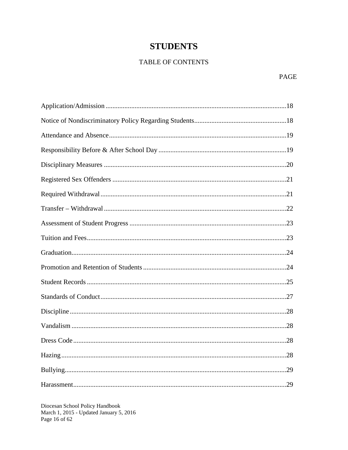## **STUDENTS**

## TABLE OF CONTENTS

Diocesan School Policy Handbook<br>March 1, 2015 - Updated January 5, 2016 Page 16 of 62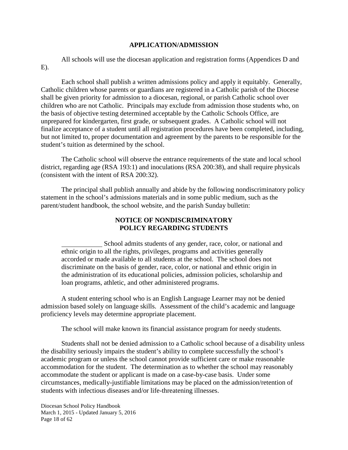## **APPLICATION/ADMISSION**

All schools will use the diocesan application and registration forms (Appendices D and  $E$ ).

Each school shall publish a written admissions policy and apply it equitably. Generally, Catholic children whose parents or guardians are registered in a Catholic parish of the Diocese shall be given priority for admission to a diocesan, regional, or parish Catholic school over children who are not Catholic. Principals may exclude from admission those students who, on the basis of objective testing determined acceptable by the Catholic Schools Office, are unprepared for kindergarten, first grade, or subsequent grades. A Catholic school will not finalize acceptance of a student until all registration procedures have been completed, including, but not limited to, proper documentation and agreement by the parents to be responsible for the student's tuition as determined by the school.

The Catholic school will observe the entrance requirements of the state and local school district, regarding age (RSA 193:1) and inoculations (RSA 200:38), and shall require physicals (consistent with the intent of RSA 200:32).

The principal shall publish annually and abide by the following nondiscriminatory policy statement in the school's admissions materials and in some public medium, such as the parent/student handbook, the school website, and the parish Sunday bulletin:

## **NOTICE OF NONDISCRIMINATORY POLICY REGARDING STUDENTS**

School admits students of any gender, race, color, or national and ethnic origin to all the rights, privileges, programs and activities generally accorded or made available to all students at the school. The school does not discriminate on the basis of gender, race, color, or national and ethnic origin in the administration of its educational policies, admission policies, scholarship and loan programs, athletic, and other administered programs.

A student entering school who is an English Language Learner may not be denied admission based solely on language skills. Assessment of the child's academic and language proficiency levels may determine appropriate placement.

The school will make known its financial assistance program for needy students.

Students shall not be denied admission to a Catholic school because of a disability unless the disability seriously impairs the student's ability to complete successfully the school's academic program or unless the school cannot provide sufficient care or make reasonable accommodation for the student. The determination as to whether the school may reasonably accommodate the student or applicant is made on a case-by-case basis. Under some circumstances, medically-justifiable limitations may be placed on the admission/retention of students with infectious diseases and/or life-threatening illnesses.

Diocesan School Policy Handbook March 1, 2015 - Updated January 5, 2016 Page 18 of 62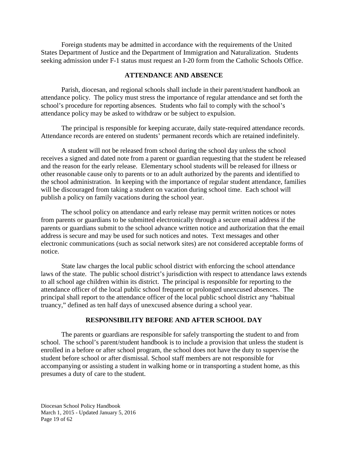Foreign students may be admitted in accordance with the requirements of the United States Department of Justice and the Department of Immigration and Naturalization. Students seeking admission under F-1 status must request an I-20 form from the Catholic Schools Office.

#### **ATTENDANCE AND ABSENCE**

Parish, diocesan, and regional schools shall include in their parent/student handbook an attendance policy. The policy must stress the importance of regular attendance and set forth the school's procedure for reporting absences. Students who fail to comply with the school's attendance policy may be asked to withdraw or be subject to expulsion.

The principal is responsible for keeping accurate, daily state-required attendance records. Attendance records are entered on students' permanent records which are retained indefinitely.

A student will not be released from school during the school day unless the school receives a signed and dated note from a parent or guardian requesting that the student be released and the reason for the early release. Elementary school students will be released for illness or other reasonable cause only to parents or to an adult authorized by the parents and identified to the school administration. In keeping with the importance of regular student attendance, families will be discouraged from taking a student on vacation during school time. Each school will publish a policy on family vacations during the school year.

The school policy on attendance and early release may permit written notices or notes from parents or guardians to be submitted electronically through a secure email address if the parents or guardians submit to the school advance written notice and authorization that the email address is secure and may be used for such notices and notes. Text messages and other electronic communications (such as social network sites) are not considered acceptable forms of notice.

State law charges the local public school district with enforcing the school attendance laws of the state. The public school district's jurisdiction with respect to attendance laws extends to all school age children within its district. The principal is responsible for reporting to the attendance officer of the local public school frequent or prolonged unexcused absences. The principal shall report to the attendance officer of the local public school district any "habitual truancy," defined as ten half days of unexcused absence during a school year.

## **RESPONSIBILITY BEFORE AND AFTER SCHOOL DAY**

The parents or guardians are responsible for safely transporting the student to and from school. The school's parent/student handbook is to include a provision that unless the student is enrolled in a before or after school program, the school does not have the duty to supervise the student before school or after dismissal. School staff members are not responsible for accompanying or assisting a student in walking home or in transporting a student home, as this presumes a duty of care to the student.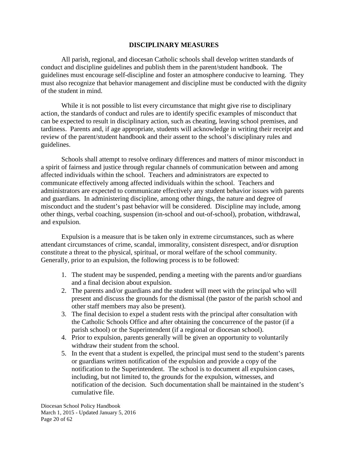## **DISCIPLINARY MEASURES**

All parish, regional, and diocesan Catholic schools shall develop written standards of conduct and discipline guidelines and publish them in the parent/student handbook. The guidelines must encourage self-discipline and foster an atmosphere conducive to learning. They must also recognize that behavior management and discipline must be conducted with the dignity of the student in mind.

While it is not possible to list every circumstance that might give rise to disciplinary action, the standards of conduct and rules are to identify specific examples of misconduct that can be expected to result in disciplinary action, such as cheating, leaving school premises, and tardiness. Parents and, if age appropriate, students will acknowledge in writing their receipt and review of the parent/student handbook and their assent to the school's disciplinary rules and guidelines.

Schools shall attempt to resolve ordinary differences and matters of minor misconduct in a spirit of fairness and justice through regular channels of communication between and among affected individuals within the school. Teachers and administrators are expected to communicate effectively among affected individuals within the school. Teachers and administrators are expected to communicate effectively any student behavior issues with parents and guardians. In administering discipline, among other things, the nature and degree of misconduct and the student's past behavior will be considered. Discipline may include, among other things, verbal coaching, suspension (in-school and out-of-school), probation, withdrawal, and expulsion.

Expulsion is a measure that is be taken only in extreme circumstances, such as where attendant circumstances of crime, scandal, immorality, consistent disrespect, and/or disruption constitute a threat to the physical, spiritual, or moral welfare of the school community. Generally, prior to an expulsion, the following process is to be followed:

- 1. The student may be suspended, pending a meeting with the parents and/or guardians and a final decision about expulsion.
- 2. The parents and/or guardians and the student will meet with the principal who will present and discuss the grounds for the dismissal (the pastor of the parish school and other staff members may also be present).
- 3. The final decision to expel a student rests with the principal after consultation with the Catholic Schools Office and after obtaining the concurrence of the pastor (if a parish school) or the Superintendent (if a regional or diocesan school).
- 4. Prior to expulsion, parents generally will be given an opportunity to voluntarily withdraw their student from the school.
- 5. In the event that a student is expelled, the principal must send to the student's parents or guardians written notification of the expulsion and provide a copy of the notification to the Superintendent. The school is to document all expulsion cases, including, but not limited to, the grounds for the expulsion, witnesses, and notification of the decision. Such documentation shall be maintained in the student's cumulative file.

Diocesan School Policy Handbook March 1, 2015 - Updated January 5, 2016 Page 20 of 62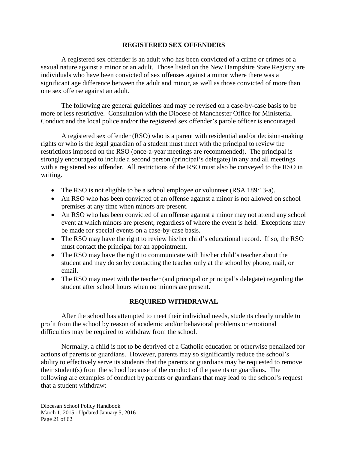## **REGISTERED SEX OFFENDERS**

A registered sex offender is an adult who has been convicted of a crime or crimes of a sexual nature against a minor or an adult. Those listed on the New Hampshire State Registry are individuals who have been convicted of sex offenses against a minor where there was a significant age difference between the adult and minor, as well as those convicted of more than one sex offense against an adult.

The following are general guidelines and may be revised on a case-by-case basis to be more or less restrictive. Consultation with the Diocese of Manchester Office for Ministerial Conduct and the local police and/or the registered sex offender's parole officer is encouraged.

A registered sex offender (RSO) who is a parent with residential and/or decision-making rights or who is the legal guardian of a student must meet with the principal to review the restrictions imposed on the RSO (once-a-year meetings are recommended). The principal is strongly encouraged to include a second person (principal's delegate) in any and all meetings with a registered sex offender. All restrictions of the RSO must also be conveyed to the RSO in writing.

- The RSO is not eligible to be a school employee or volunteer (RSA 189:13-a).
- An RSO who has been convicted of an offense against a minor is not allowed on school premises at any time when minors are present.
- An RSO who has been convicted of an offense against a minor may not attend any school event at which minors are present, regardless of where the event is held. Exceptions may be made for special events on a case-by-case basis.
- The RSO may have the right to review his/her child's educational record. If so, the RSO must contact the principal for an appointment.
- The RSO may have the right to communicate with his/her child's teacher about the student and may do so by contacting the teacher only at the school by phone, mail, or email.
- The RSO may meet with the teacher (and principal or principal's delegate) regarding the student after school hours when no minors are present.

## **REQUIRED WITHDRAWAL**

After the school has attempted to meet their individual needs, students clearly unable to profit from the school by reason of academic and/or behavioral problems or emotional difficulties may be required to withdraw from the school.

Normally, a child is not to be deprived of a Catholic education or otherwise penalized for actions of parents or guardians. However, parents may so significantly reduce the school's ability to effectively serve its students that the parents or guardians may be requested to remove their student(s) from the school because of the conduct of the parents or guardians. The following are examples of conduct by parents or guardians that may lead to the school's request that a student withdraw:

Diocesan School Policy Handbook March 1, 2015 - Updated January 5, 2016 Page 21 of 62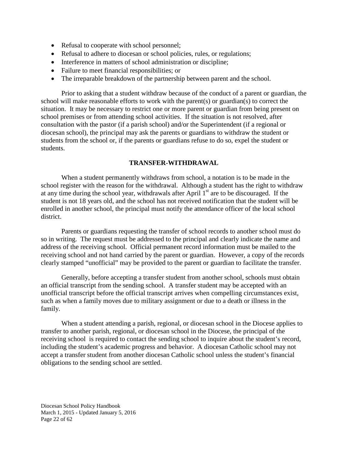- Refusal to cooperate with school personnel;
- Refusal to adhere to diocesan or school policies, rules, or regulations;
- Interference in matters of school administration or discipline;
- Failure to meet financial responsibilities; or
- The irreparable breakdown of the partnership between parent and the school.

Prior to asking that a student withdraw because of the conduct of a parent or guardian, the school will make reasonable efforts to work with the parent(s) or guardian(s) to correct the situation. It may be necessary to restrict one or more parent or guardian from being present on school premises or from attending school activities. If the situation is not resolved, after consultation with the pastor (if a parish school) and/or the Superintendent (if a regional or diocesan school), the principal may ask the parents or guardians to withdraw the student or students from the school or, if the parents or guardians refuse to do so, expel the student or students.

## **TRANSFER-WITHDRAWAL**

When a student permanently withdraws from school, a notation is to be made in the school register with the reason for the withdrawal. Although a student has the right to withdraw at any time during the school year, withdrawals after April  $1<sup>st</sup>$  are to be discouraged. If the student is not 18 years old, and the school has not received notification that the student will be enrolled in another school, the principal must notify the attendance officer of the local school district.

Parents or guardians requesting the transfer of school records to another school must do so in writing. The request must be addressed to the principal and clearly indicate the name and address of the receiving school. Official permanent record information must be mailed to the receiving school and not hand carried by the parent or guardian. However, a copy of the records clearly stamped "unofficial" may be provided to the parent or guardian to facilitate the transfer.

Generally, before accepting a transfer student from another school, schools must obtain an official transcript from the sending school. A transfer student may be accepted with an unofficial transcript before the official transcript arrives when compelling circumstances exist, such as when a family moves due to military assignment or due to a death or illness in the family.

When a student attending a parish, regional, or diocesan school in the Diocese applies to transfer to another parish, regional, or diocesan school in the Diocese, the principal of the receiving school is required to contact the sending school to inquire about the student's record, including the student's academic progress and behavior. A diocesan Catholic school may not accept a transfer student from another diocesan Catholic school unless the student's financial obligations to the sending school are settled.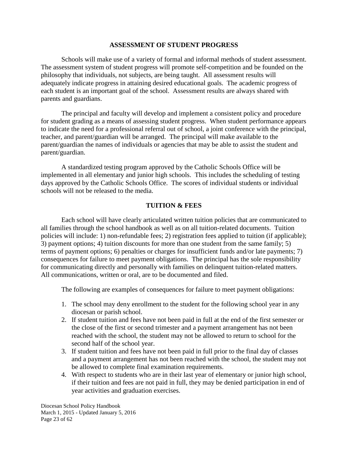## **ASSESSMENT OF STUDENT PROGRESS**

Schools will make use of a variety of formal and informal methods of student assessment. The assessment system of student progress will promote self-competition and be founded on the philosophy that individuals, not subjects, are being taught. All assessment results will adequately indicate progress in attaining desired educational goals. The academic progress of each student is an important goal of the school. Assessment results are always shared with parents and guardians.

The principal and faculty will develop and implement a consistent policy and procedure for student grading as a means of assessing student progress. When student performance appears to indicate the need for a professional referral out of school, a joint conference with the principal, teacher, and parent/guardian will be arranged. The principal will make available to the parent/guardian the names of individuals or agencies that may be able to assist the student and parent/guardian.

A standardized testing program approved by the Catholic Schools Office will be implemented in all elementary and junior high schools. This includes the scheduling of testing days approved by the Catholic Schools Office. The scores of individual students or individual schools will not be released to the media.

## **TUITION & FEES**

Each school will have clearly articulated written tuition policies that are communicated to all families through the school handbook as well as on all tuition-related documents. Tuition policies will include: 1) non-refundable fees; 2) registration fees applied to tuition (if applicable); 3) payment options; 4) tuition discounts for more than one student from the same family; 5) terms of payment options; 6) penalties or charges for insufficient funds and/or late payments; 7) consequences for failure to meet payment obligations. The principal has the sole responsibility for communicating directly and personally with families on delinquent tuition-related matters. All communications, written or oral, are to be documented and filed.

The following are examples of consequences for failure to meet payment obligations:

- 1. The school may deny enrollment to the student for the following school year in any diocesan or parish school.
- 2. If student tuition and fees have not been paid in full at the end of the first semester or the close of the first or second trimester and a payment arrangement has not been reached with the school, the student may not be allowed to return to school for the second half of the school year.
- 3. If student tuition and fees have not been paid in full prior to the final day of classes and a payment arrangement has not been reached with the school, the student may not be allowed to complete final examination requirements.
- 4. With respect to students who are in their last year of elementary or junior high school, if their tuition and fees are not paid in full, they may be denied participation in end of year activities and graduation exercises.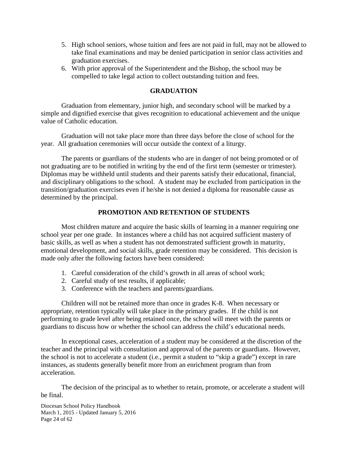- 5. High school seniors, whose tuition and fees are not paid in full, may not be allowed to take final examinations and may be denied participation in senior class activities and graduation exercises.
- 6. With prior approval of the Superintendent and the Bishop, the school may be compelled to take legal action to collect outstanding tuition and fees.

## **GRADUATION**

Graduation from elementary, junior high, and secondary school will be marked by a simple and dignified exercise that gives recognition to educational achievement and the unique value of Catholic education.

Graduation will not take place more than three days before the close of school for the year. All graduation ceremonies will occur outside the context of a liturgy.

The parents or guardians of the students who are in danger of not being promoted or of not graduating are to be notified in writing by the end of the first term (semester or trimester). Diplomas may be withheld until students and their parents satisfy their educational, financial, and disciplinary obligations to the school. A student may be excluded from participation in the transition/graduation exercises even if he/she is not denied a diploma for reasonable cause as determined by the principal.

## **PROMOTION AND RETENTION OF STUDENTS**

Most children mature and acquire the basic skills of learning in a manner requiring one school year per one grade. In instances where a child has not acquired sufficient mastery of basic skills, as well as when a student has not demonstrated sufficient growth in maturity, emotional development, and social skills, grade retention may be considered. This decision is made only after the following factors have been considered:

- 1. Careful consideration of the child's growth in all areas of school work;
- 2. Careful study of test results, if applicable;
- 3. Conference with the teachers and parents/guardians.

Children will not be retained more than once in grades K-8. When necessary or appropriate, retention typically will take place in the primary grades. If the child is not performing to grade level after being retained once, the school will meet with the parents or guardians to discuss how or whether the school can address the child's educational needs.

In exceptional cases, acceleration of a student may be considered at the discretion of the teacher and the principal with consultation and approval of the parents or guardians. However, the school is not to accelerate a student (i.e., permit a student to "skip a grade") except in rare instances, as students generally benefit more from an enrichment program than from acceleration.

The decision of the principal as to whether to retain, promote, or accelerate a student will be final.

Diocesan School Policy Handbook March 1, 2015 - Updated January 5, 2016 Page 24 of 62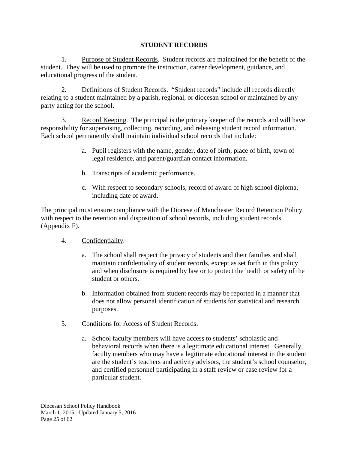## **STUDENT RECORDS**

1. Purpose of Student Records. Student records are maintained for the benefit of the student. They will be used to promote the instruction, career development, guidance, and educational progress of the student.

2. Definitions of Student Records. "Student records" include all records directly relating to a student maintained by a parish, regional, or diocesan school or maintained by any party acting for the school.

3. Record Keeping. The principal is the primary keeper of the records and will have responsibility for supervising, collecting, recording, and releasing student record information. Each school permanently shall maintain individual school records that include:

- a. Pupil registers with the name, gender, date of birth, place of birth, town of legal residence, and parent/guardian contact information.
- b. Transcripts of academic performance.
- c. With respect to secondary schools, record of award of high school diploma, including date of award.

The principal must ensure compliance with the Diocese of Manchester Record Retention Policy with respect to the retention and disposition of school records, including student records (Appendix F).

- 4. Confidentiality.
	- a. The school shall respect the privacy of students and their families and shall maintain confidentiality of student records, except as set forth in this policy and when disclosure is required by law or to protect the health or safety of the student or others.
	- b. Information obtained from student records may be reported in a manner that does not allow personal identification of students for statistical and research purposes.
- 5. Conditions for Access of Student Records.
	- a. School faculty members will have access to students' scholastic and behavioral records when there is a legitimate educational interest. Generally, faculty members who may have a legitimate educational interest in the student are the student's teachers and activity advisors, the student's school counselor, and certified personnel participating in a staff review or case review for a particular student.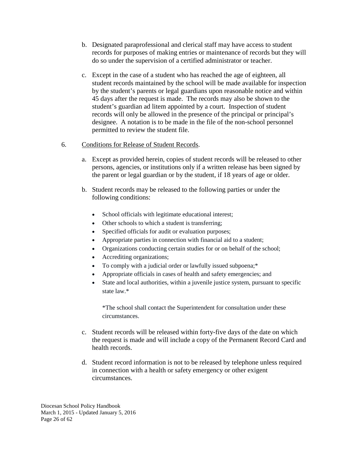- b. Designated paraprofessional and clerical staff may have access to student records for purposes of making entries or maintenance of records but they will do so under the supervision of a certified administrator or teacher.
- c. Except in the case of a student who has reached the age of eighteen, all student records maintained by the school will be made available for inspection by the student's parents or legal guardians upon reasonable notice and within 45 days after the request is made. The records may also be shown to the student's guardian ad litem appointed by a court. Inspection of student records will only be allowed in the presence of the principal or principal's designee. A notation is to be made in the file of the non-school personnel permitted to review the student file.

## 6. Conditions for Release of Student Records.

- a. Except as provided herein, copies of student records will be released to other persons, agencies, or institutions only if a written release has been signed by the parent or legal guardian or by the student, if 18 years of age or older.
- b. Student records may be released to the following parties or under the following conditions:
	- School officials with legitimate educational interest;
	- Other schools to which a student is transferring;
	- Specified officials for audit or evaluation purposes;
	- Appropriate parties in connection with financial aid to a student;
	- Organizations conducting certain studies for or on behalf of the school;
	- Accrediting organizations;
	- To comply with a judicial order or lawfully issued subpoena;\*
	- Appropriate officials in cases of health and safety emergencies; and
	- State and local authorities, within a juvenile justice system, pursuant to specific state law.\*

\*The school shall contact the Superintendent for consultation under these circumstances.

- c. Student records will be released within forty-five days of the date on which the request is made and will include a copy of the Permanent Record Card and health records.
- d. Student record information is not to be released by telephone unless required in connection with a health or safety emergency or other exigent circumstances.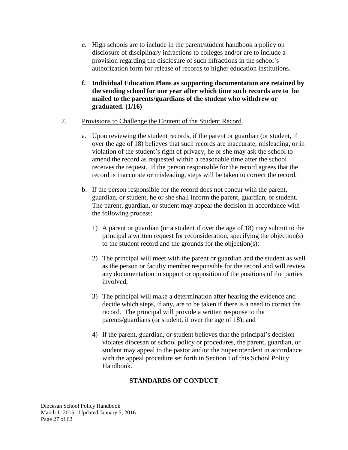- e. High schools are to include in the parent/student handbook a policy on disclosure of disciplinary infractions to colleges and/or are to include a provision regarding the disclosure of such infractions in the school's authorization form for release of records to higher education institutions.
- **f. Individual Education Plans as supporting documentation are retained by the sending school for one year after which time such records are to be mailed to the parents/guardians of the student who withdrew or graduated. (1/16)**

## 7. Provisions to Challenge the Content of the Student Record.

- a. Upon reviewing the student records, if the parent or guardian (or student, if over the age of 18) believes that such records are inaccurate, misleading, or in violation of the student's right of privacy, he or she may ask the school to amend the record as requested within a reasonable time after the school receives the request. If the person responsible for the record agrees that the record is inaccurate or misleading, steps will be taken to correct the record.
- b. If the person responsible for the record does not concur with the parent, guardian, or student, he or she shall inform the parent, guardian, or student. The parent, guardian, or student may appeal the decision in accordance with the following process:
	- 1) A parent or guardian (or a student if over the age of 18) may submit to the principal a written request for reconsideration, specifying the objection(s) to the student record and the grounds for the objection(s);
	- 2) The principal will meet with the parent or guardian and the student as well as the person or faculty member responsible for the record and will review any documentation in support or opposition of the positions of the parties involved;
	- 3) The principal will make a determination after hearing the evidence and decide which steps, if any, are to be taken if there is a need to correct the record. The principal will provide a written response to the parents/guardians (or student, if over the age of 18); and
	- 4) If the parent, guardian, or student believes that the principal's decision violates diocesan or school policy or procedures, the parent, guardian, or student may appeal to the pastor and/or the Superintendent in accordance with the appeal procedure set forth in Section I of this School Policy Handbook.

## **STANDARDS OF CONDUCT**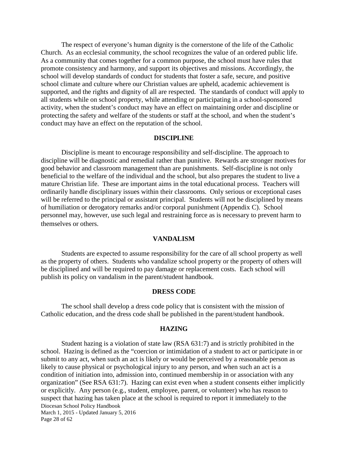The respect of everyone's human dignity is the cornerstone of the life of the Catholic Church. As an ecclesial community, the school recognizes the value of an ordered public life. As a community that comes together for a common purpose, the school must have rules that promote consistency and harmony, and support its objectives and missions. Accordingly, the school will develop standards of conduct for students that foster a safe, secure, and positive school climate and culture where our Christian values are upheld, academic achievement is supported, and the rights and dignity of all are respected. The standards of conduct will apply to all students while on school property, while attending or participating in a school-sponsored activity, when the student's conduct may have an effect on maintaining order and discipline or protecting the safety and welfare of the students or staff at the school, and when the student's conduct may have an effect on the reputation of the school.

#### **DISCIPLINE**

Discipline is meant to encourage responsibility and self-discipline. The approach to discipline will be diagnostic and remedial rather than punitive. Rewards are stronger motives for good behavior and classroom management than are punishments. Self-discipline is not only beneficial to the welfare of the individual and the school, but also prepares the student to live a mature Christian life. These are important aims in the total educational process. Teachers will ordinarily handle disciplinary issues within their classrooms. Only serious or exceptional cases will be referred to the principal or assistant principal. Students will not be disciplined by means of humiliation or derogatory remarks and/or corporal punishment (Appendix C). School personnel may, however, use such legal and restraining force as is necessary to prevent harm to themselves or others.

#### **VANDALISM**

Students are expected to assume responsibility for the care of all school property as well as the property of others. Students who vandalize school property or the property of others will be disciplined and will be required to pay damage or replacement costs. Each school will publish its policy on vandalism in the parent/student handbook.

#### **DRESS CODE**

The school shall develop a dress code policy that is consistent with the mission of Catholic education, and the dress code shall be published in the parent/student handbook.

#### **HAZING**

Diocesan School Policy Handbook March 1, 2015 - Updated January 5, 2016 Page 28 of 62 Student hazing is a violation of state law (RSA 631:7) and is strictly prohibited in the school. Hazing is defined as the "coercion or intimidation of a student to act or participate in or submit to any act, when such an act is likely or would be perceived by a reasonable person as likely to cause physical or psychological injury to any person, and when such an act is a condition of initiation into, admission into, continued membership in or association with any organization" (See RSA 631:7). Hazing can exist even when a student consents either implicitly or explicitly. Any person (e.g., student, employee, parent, or volunteer) who has reason to suspect that hazing has taken place at the school is required to report it immediately to the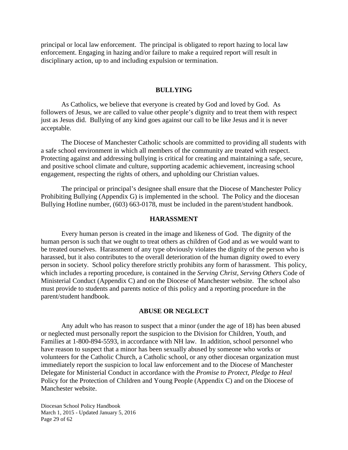principal or local law enforcement. The principal is obligated to report hazing to local law enforcement. Engaging in hazing and/or failure to make a required report will result in disciplinary action, up to and including expulsion or termination.

#### **BULLYING**

As Catholics, we believe that everyone is created by God and loved by God. As followers of Jesus, we are called to value other people's dignity and to treat them with respect just as Jesus did. Bullying of any kind goes against our call to be like Jesus and it is never acceptable.

The Diocese of Manchester Catholic schools are committed to providing all students with a safe school environment in which all members of the community are treated with respect. Protecting against and addressing bullying is critical for creating and maintaining a safe, secure, and positive school climate and culture, supporting academic achievement, increasing school engagement, respecting the rights of others, and upholding our Christian values.

The principal or principal's designee shall ensure that the Diocese of Manchester Policy Prohibiting Bullying (Appendix G) is implemented in the school. The Policy and the diocesan Bullying Hotline number, (603) 663-0178, must be included in the parent/student handbook.

#### **HARASSMENT**

Every human person is created in the image and likeness of God. The dignity of the human person is such that we ought to treat others as children of God and as we would want to be treated ourselves. Harassment of any type obviously violates the dignity of the person who is harassed, but it also contributes to the overall deterioration of the human dignity owed to every person in society. School policy therefore strictly prohibits any form of harassment. This policy, which includes a reporting procedure, is contained in the *Serving Christ, Serving Others* Code of Ministerial Conduct (Appendix C) and on the Diocese of Manchester website. The school also must provide to students and parents notice of this policy and a reporting procedure in the parent/student handbook.

#### **ABUSE OR NEGLECT**

Any adult who has reason to suspect that a minor (under the age of 18) has been abused or neglected must personally report the suspicion to the Division for Children, Youth, and Families at 1-800-894-5593, in accordance with NH law. In addition, school personnel who have reason to suspect that a minor has been sexually abused by someone who works or volunteers for the Catholic Church, a Catholic school, or any other diocesan organization must immediately report the suspicion to local law enforcement and to the Diocese of Manchester Delegate for Ministerial Conduct in accordance with the *Promise to Protect, Pledge to Heal* Policy for the Protection of Children and Young People (Appendix C) and on the Diocese of Manchester website.

Diocesan School Policy Handbook March 1, 2015 - Updated January 5, 2016 Page 29 of 62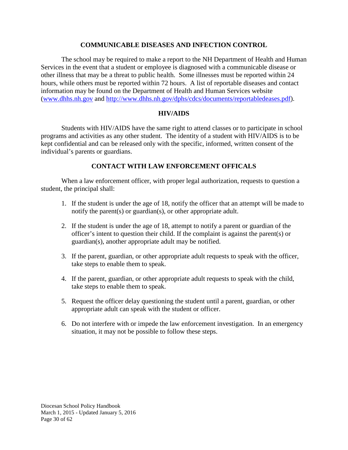## **COMMUNICABLE DISEASES AND INFECTION CONTROL**

The school may be required to make a report to the NH Department of Health and Human Services in the event that a student or employee is diagnosed with a communicable disease or other illness that may be a threat to public health. Some illnesses must be reported within 24 hours, while others must be reported within 72 hours. A list of reportable diseases and contact information may be found on the Department of Health and Human Services website [\(www.dhhs.nh.gov](http://www.dhhs.nh.gov/) and [http://www.dhhs.nh.gov/dphs/cdcs/documents/reportabledeases.pdf\)](http://www.dhhs.nh.gov/dphs/cdcs/documents/reportabledeases.pdf).

## **HIV/AIDS**

Students with HIV/AIDS have the same right to attend classes or to participate in school programs and activities as any other student. The identity of a student with HIV/AIDS is to be kept confidential and can be released only with the specific, informed, written consent of the individual's parents or guardians.

## **CONTACT WITH LAW ENFORCEMENT OFFICALS**

When a law enforcement officer, with proper legal authorization, requests to question a student, the principal shall:

- 1. If the student is under the age of 18, notify the officer that an attempt will be made to notify the parent(s) or guardian(s), or other appropriate adult.
- 2. If the student is under the age of 18, attempt to notify a parent or guardian of the officer's intent to question their child. If the complaint is against the parent(s) or guardian(s), another appropriate adult may be notified.
- 3. If the parent, guardian, or other appropriate adult requests to speak with the officer, take steps to enable them to speak.
- 4. If the parent, guardian, or other appropriate adult requests to speak with the child, take steps to enable them to speak.
- 5. Request the officer delay questioning the student until a parent, guardian, or other appropriate adult can speak with the student or officer.
- 6. Do not interfere with or impede the law enforcement investigation. In an emergency situation, it may not be possible to follow these steps.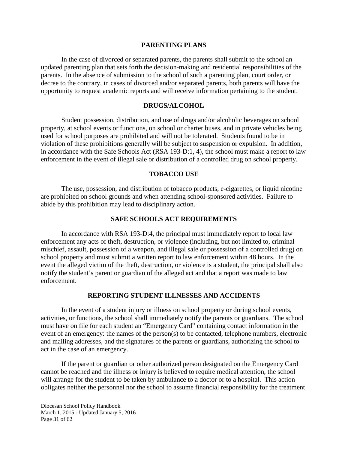#### **PARENTING PLANS**

In the case of divorced or separated parents, the parents shall submit to the school an updated parenting plan that sets forth the decision-making and residential responsibilities of the parents. In the absence of submission to the school of such a parenting plan, court order, or decree to the contrary, in cases of divorced and/or separated parents, both parents will have the opportunity to request academic reports and will receive information pertaining to the student.

#### **DRUGS/ALCOHOL**

Student possession, distribution, and use of drugs and/or alcoholic beverages on school property, at school events or functions, on school or charter buses, and in private vehicles being used for school purposes are prohibited and will not be tolerated. Students found to be in violation of these prohibitions generally will be subject to suspension or expulsion. In addition, in accordance with the Safe Schools Act (RSA 193-D:1, 4), the school must make a report to law enforcement in the event of illegal sale or distribution of a controlled drug on school property.

#### **TOBACCO USE**

The use, possession, and distribution of tobacco products, e-cigarettes, or liquid nicotine are prohibited on school grounds and when attending school-sponsored activities. Failure to abide by this prohibition may lead to disciplinary action.

#### **SAFE SCHOOLS ACT REQUIREMENTS**

In accordance with RSA 193-D:4, the principal must immediately report to local law enforcement any acts of theft, destruction, or violence (including, but not limited to, criminal mischief, assault, possession of a weapon, and illegal sale or possession of a controlled drug) on school property and must submit a written report to law enforcement within 48 hours. In the event the alleged victim of the theft, destruction, or violence is a student, the principal shall also notify the student's parent or guardian of the alleged act and that a report was made to law enforcement.

#### **REPORTING STUDENT ILLNESSES AND ACCIDENTS**

In the event of a student injury or illness on school property or during school events, activities, or functions, the school shall immediately notify the parents or guardians. The school must have on file for each student an "Emergency Card" containing contact information in the event of an emergency: the names of the person(s) to be contacted, telephone numbers, electronic and mailing addresses, and the signatures of the parents or guardians, authorizing the school to act in the case of an emergency.

If the parent or guardian or other authorized person designated on the Emergency Card cannot be reached and the illness or injury is believed to require medical attention, the school will arrange for the student to be taken by ambulance to a doctor or to a hospital. This action obligates neither the personnel nor the school to assume financial responsibility for the treatment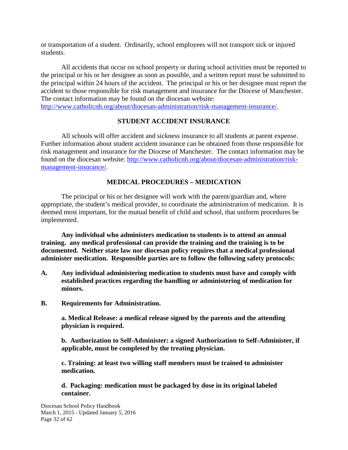or transportation of a student. Ordinarily, school employees will not transport sick or injured students.

All accidents that occur on school property or during school activities must be reported to the principal or his or her designee as soon as possible, and a written report must be submitted to the principal within 24 hours of the accident. The principal or his or her designee must report the accident to those responsible for risk management and insurance for the Diocese of Manchester. The contact information may be found on the diocesan website: [http://www.catholicnh.org/about/diocesan-administration/risk-management-insurance/.](http://www.catholicnh.org/about/diocesan-administration/risk-management-insurance/)

## **STUDENT ACCIDENT INSURANCE**

All schools will offer accident and sickness insurance to all students at parent expense. Further information about student accident insurance can be obtained from those responsible for risk management and insurance for the Diocese of Manchester. The contact information may be found on the diocesan website: [http://www.catholicnh.org/about/diocesan-administration/risk](http://www.catholicnh.org/about/diocesan-administration/risk-management-insurance/)[management-insurance/.](http://www.catholicnh.org/about/diocesan-administration/risk-management-insurance/)

## **MEDICAL PROCEDURES – MEDICATION**

The principal or his or her designee will work with the parent/guardian and, where appropriate, the student's medical provider, to coordinate the administration of medication. It is deemed most important, for the mutual benefit of child and school, that uniform procedures be implemented.

**Any individual who administers medication to students is to attend an annual training. any medical professional can provide the training and the training is to be documented. Neither state law nor diocesan policy requires that a medical professional administer medication. Responsible parties are to follow the following safety protocols:**

- **A. Any individual administering medication to students must have and comply with established practices regarding the handling or administering of medication for minors.**
- **B. Requirements for Administration.**

**a. Medical Release: a medical release signed by the parents and the attending physician is required.**

**b. Authorization to Self-Administer: a signed Authorization to Self-Administer, if applicable, must be completed by the treating physician.**

**c. Training: at least two willing staff members must be trained to administer medication.**

**d. Packaging: medication must be packaged by dose in its original labeled container.**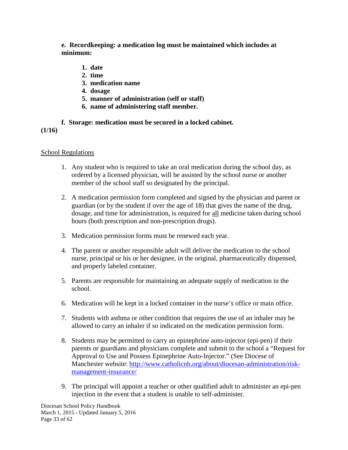**e. Recordkeeping: a medication log must be maintained which includes at minimum:**

- **1. date**
- **2. time**
- **3. medication name**
- **4. dosage**
- **5. manner of administration (self or staff)**
- **6. name of administering staff member.**

## **f. Storage: medication must be secured in a locked cabinet.**

## **(1/16)**

## School Regulations

- 1. Any student who is required to take an oral medication during the school day, as ordered by a licensed physician, will be assisted by the school nurse or another member of the school staff so designated by the principal.
- 2. A medication permission form completed and signed by the physician and parent or guardian (or by the student if over the age of 18) that gives the name of the drug, dosage, and time for administration, is required for all medicine taken during school hours (both prescription and non-prescription drugs).
- 3. Medication permission forms must be renewed each year.
- 4. The parent or another responsible adult will deliver the medication to the school nurse, principal or his or her designee, in the original, pharmaceutically dispensed, and properly labeled container.
- 5. Parents are responsible for maintaining an adequate supply of medication in the school.
- 6. Medication will be kept in a locked container in the nurse's office or main office.
- 7. Students with asthma or other condition that requires the use of an inhaler may be allowed to carry an inhaler if so indicated on the medication permission form.
- 8. Students may be permitted to carry an epinephrine auto-injector (epi-pen) if their parents or guardians and physicians complete and submit to the school a "Request for Approval to Use and Possess Epinephrine Auto-Injector." (See Diocese of Manchester website: [http://www.catholicnh.org/about/diocesan-administration/risk](http://www.catholicnh.org/about/diocesan-administration/risk-management-insurance/)[management-insurance/](http://www.catholicnh.org/about/diocesan-administration/risk-management-insurance/)
- 9. The principal will appoint a teacher or other qualified adult to administer an epi-pen injection in the event that a student is unable to self-administer.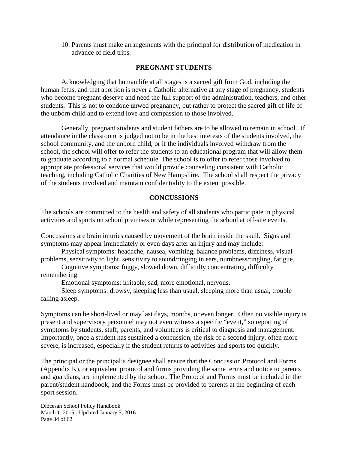10. Parents must make arrangements with the principal for distribution of medication in advance of field trips.

## **PREGNANT STUDENTS**

Acknowledging that human life at all stages is a sacred gift from God, including the human fetus, and that abortion is never a Catholic alternative at any stage of pregnancy, students who become pregnant deserve and need the full support of the administration, teachers, and other students. This is not to condone unwed pregnancy, but rather to protect the sacred gift of life of the unborn child and to extend love and compassion to those involved.

Generally, pregnant students and student fathers are to be allowed to remain in school. If attendance in the classroom is judged not to be in the best interests of the students involved, the school community, and the unborn child, or if the individuals involved withdraw from the school, the school will offer to refer the students to an educational program that will allow them to graduate according to a normal schedule The school is to offer to refer those involved to appropriate professional services that would provide counseling consistent with Catholic teaching, including Catholic Charities of New Hampshire. The school shall respect the privacy of the students involved and maintain confidentiality to the extent possible.

## **CONCUSSIONS**

The schools are committed to the health and safety of all students who participate in physical activities and sports on school premises or while representing the school at off-site events.

Concussions are brain injuries caused by movement of the brain inside the skull. Signs and symptoms may appear immediately or even days after an injury and may include:

Physical symptoms: headache, nausea, vomiting, balance problems, dizziness, visual problems, sensitivity to light, sensitivity to sound/ringing in ears, numbness/tingling, fatigue.

Cognitive symptoms: foggy, slowed down, difficulty concentrating, difficulty remembering

Emotional symptoms: irritable, sad, more emotional, nervous.

Sleep symptoms: drowsy, sleeping less than usual, sleeping more than usual, trouble falling asleep.

Symptoms can be short-lived or may last days, months, or even longer. Often no visible injury is present and supervisory personnel may not even witness a specific "event," so reporting of symptoms by students, staff, parents, and volunteers is critical to diagnosis and management. Importantly, once a student has sustained a concussion, the risk of a second injury, often more severe, is increased, especially if the student returns to activities and sports too quickly.

The principal or the principal's designee shall ensure that the Concussion Protocol and Forms (Appendix K), or equivalent protocol and forms providing the same terms and notice to parents and guardians, are implemented by the school. The Protocol and Forms must be included in the parent/student handbook, and the Forms must be provided to parents at the beginning of each sport session.

Diocesan School Policy Handbook March 1, 2015 - Updated January 5, 2016 Page 34 of 62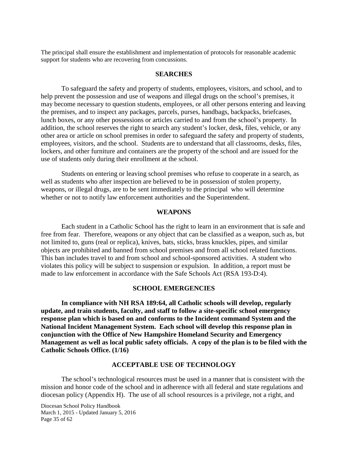The principal shall ensure the establishment and implementation of protocols for reasonable academic support for students who are recovering from concussions.

#### **SEARCHES**

To safeguard the safety and property of students, employees, visitors, and school, and to help prevent the possession and use of weapons and illegal drugs on the school's premises, it may become necessary to question students, employees, or all other persons entering and leaving the premises, and to inspect any packages, parcels, purses, handbags, backpacks, briefcases, lunch boxes, or any other possessions or articles carried to and from the school's property. In addition, the school reserves the right to search any student's locker, desk, files, vehicle, or any other area or article on school premises in order to safeguard the safety and property of students, employees, visitors, and the school. Students are to understand that all classrooms, desks, files, lockers, and other furniture and containers are the property of the school and are issued for the use of students only during their enrollment at the school.

Students on entering or leaving school premises who refuse to cooperate in a search, as well as students who after inspection are believed to be in possession of stolen property, weapons, or illegal drugs, are to be sent immediately to the principal who will determine whether or not to notify law enforcement authorities and the Superintendent.

#### **WEAPONS**

Each student in a Catholic School has the right to learn in an environment that is safe and free from fear. Therefore, weapons or any object that can be classified as a weapon, such as, but not limited to, guns (real or replica), knives, bats, sticks, brass knuckles, pipes, and similar objects are prohibited and banned from school premises and from all school related functions. This ban includes travel to and from school and school-sponsored activities. A student who violates this policy will be subject to suspension or expulsion. In addition, a report must be made to law enforcement in accordance with the Safe Schools Act (RSA 193-D:4).

#### **SCHOOL EMERGENCIES**

**In compliance with NH RSA 189:64, all Catholic schools will develop, regularly update, and train students, faculty, and staff to follow a site-specific school emergency response plan which is based on and conforms to the Incident command System and the National Incident Management System. Each school will develop this response plan in conjunction with the Office of New Hampshire Homeland Security and Emergency Management as well as local public safety officials. A copy of the plan is to be filed with the Catholic Schools Office. (1/16)**

#### **ACCEPTABLE USE OF TECHNOLOGY**

The school's technological resources must be used in a manner that is consistent with the mission and honor code of the school and in adherence with all federal and state regulations and diocesan policy (Appendix H). The use of all school resources is a privilege, not a right, and

Diocesan School Policy Handbook March 1, 2015 - Updated January 5, 2016 Page 35 of 62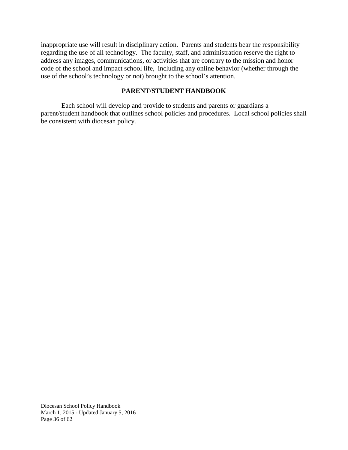inappropriate use will result in disciplinary action. Parents and students bear the responsibility regarding the use of all technology. The faculty, staff, and administration reserve the right to address any images, communications, or activities that are contrary to the mission and honor code of the school and impact school life, including any online behavior (whether through the use of the school's technology or not) brought to the school's attention.

## **PARENT/STUDENT HANDBOOK**

Each school will develop and provide to students and parents or guardians a parent/student handbook that outlines school policies and procedures. Local school policies shall be consistent with diocesan policy.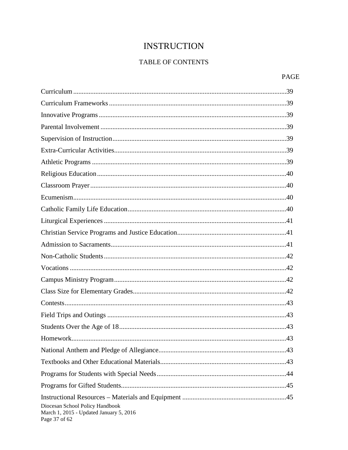# **INSTRUCTION**

## TABLE OF CONTENTS

## PAGE

| .43                                                                                         |
|---------------------------------------------------------------------------------------------|
|                                                                                             |
|                                                                                             |
|                                                                                             |
|                                                                                             |
| Diocesan School Policy Handbook<br>March 1, 2015 - Updated January 5, 2016<br>Page 37 of 62 |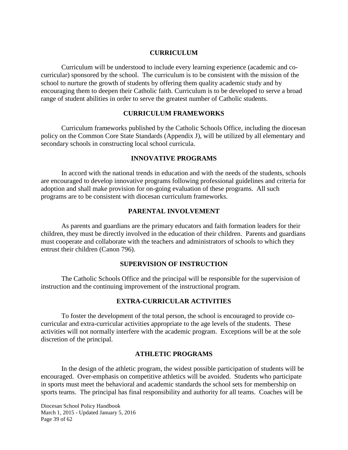## **CURRICULUM**

Curriculum will be understood to include every learning experience (academic and cocurricular) sponsored by the school. The curriculum is to be consistent with the mission of the school to nurture the growth of students by offering them quality academic study and by encouraging them to deepen their Catholic faith. Curriculum is to be developed to serve a broad range of student abilities in order to serve the greatest number of Catholic students.

## **CURRICULUM FRAMEWORKS**

Curriculum frameworks published by the Catholic Schools Office, including the diocesan policy on the Common Core State Standards (Appendix J), will be utilized by all elementary and secondary schools in constructing local school curricula.

## **INNOVATIVE PROGRAMS**

In accord with the national trends in education and with the needs of the students, schools are encouraged to develop innovative programs following professional guidelines and criteria for adoption and shall make provision for on-going evaluation of these programs. All such programs are to be consistent with diocesan curriculum frameworks.

## **PARENTAL INVOLVEMENT**

As parents and guardians are the primary educators and faith formation leaders for their children, they must be directly involved in the education of their children. Parents and guardians must cooperate and collaborate with the teachers and administrators of schools to which they entrust their children (Canon 796).

## **SUPERVISION OF INSTRUCTION**

The Catholic Schools Office and the principal will be responsible for the supervision of instruction and the continuing improvement of the instructional program.

## **EXTRA-CURRICULAR ACTIVITIES**

To foster the development of the total person, the school is encouraged to provide cocurricular and extra-curricular activities appropriate to the age levels of the students. These activities will not normally interfere with the academic program. Exceptions will be at the sole discretion of the principal.

#### **ATHLETIC PROGRAMS**

In the design of the athletic program, the widest possible participation of students will be encouraged. Over-emphasis on competitive athletics will be avoided. Students who participate in sports must meet the behavioral and academic standards the school sets for membership on sports teams. The principal has final responsibility and authority for all teams. Coaches will be

Diocesan School Policy Handbook March 1, 2015 - Updated January 5, 2016 Page 39 of 62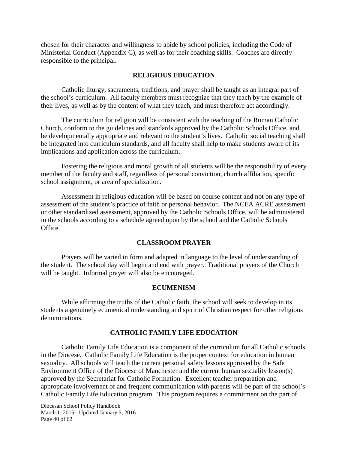chosen for their character and willingness to abide by school policies, including the Code of Ministerial Conduct (Appendix C), as well as for their coaching skills. Coaches are directly responsible to the principal.

## **RELIGIOUS EDUCATION**

Catholic liturgy, sacraments, traditions, and prayer shall be taught as an integral part of the school's curriculum. All faculty members must recognize that they teach by the example of their lives, as well as by the content of what they teach, and must therefore act accordingly.

The curriculum for religion will be consistent with the teaching of the Roman Catholic Church, conform to the guidelines and standards approved by the Catholic Schools Office, and be developmentally appropriate and relevant to the student's lives. Catholic social teaching shall be integrated into curriculum standards, and all faculty shall help to make students aware of its implications and application across the curriculum.

Fostering the religious and moral growth of all students will be the responsibility of every member of the faculty and staff, regardless of personal conviction, church affiliation, specific school assignment, or area of specialization.

Assessment in religious education will be based on course content and not on any type of assessment of the student's practice of faith or personal behavior. The NCEA ACRE assessment or other standardized assessment, approved by the Catholic Schools Office, will be administered in the schools according to a schedule agreed upon by the school and the Catholic Schools Office.

#### **CLASSROOM PRAYER**

Prayers will be varied in form and adapted in language to the level of understanding of the student. The school day will begin and end with prayer. Traditional prayers of the Church will be taught. Informal prayer will also be encouraged.

#### **ECUMENISM**

While affirming the truths of the Catholic faith, the school will seek to develop in its students a genuinely ecumenical understanding and spirit of Christian respect for other religious denominations.

## **CATHOLIC FAMILY LIFE EDUCATION**

Catholic Family Life Education is a component of the curriculum for all Catholic schools in the Diocese. Catholic Family Life Education is the proper context for education in human sexuality. All schools will teach the current personal safety lessons approved by the Safe Environment Office of the Diocese of Manchester and the current human sexuality lesson(s) approved by the Secretariat for Catholic Formation. Excellent teacher preparation and appropriate involvement of and frequent communication with parents will be part of the school's Catholic Family Life Education program. This program requires a commitment on the part of

Diocesan School Policy Handbook March 1, 2015 - Updated January 5, 2016 Page 40 of 62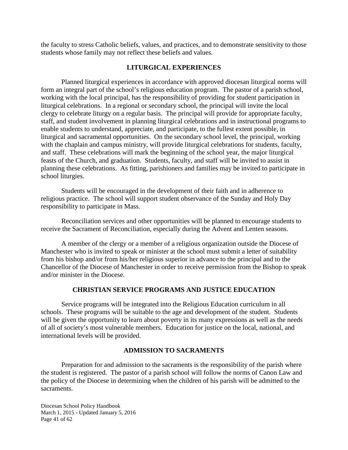the faculty to stress Catholic beliefs, values, and practices, and to demonstrate sensitivity to those students whose family may not reflect these beliefs and values.

## **LITURGICAL EXPERIENCES**

Planned liturgical experiences in accordance with approved diocesan liturgical norms will form an integral part of the school's religious education program. The pastor of a parish school, working with the local principal, has the responsibility of providing for student participation in liturgical celebrations. In a regional or secondary school, the principal will invite the local clergy to celebrate liturgy on a regular basis. The principal will provide for appropriate faculty, staff, and student involvement in planning liturgical celebrations and in instructional programs to enable students to understand, appreciate, and participate, to the fullest extent possible, in liturgical and sacramental opportunities. On the secondary school level, the principal, working with the chaplain and campus ministry, will provide liturgical celebrations for students, faculty, and staff. These celebrations will mark the beginning of the school year, the major liturgical feasts of the Church, and graduation. Students, faculty, and staff will be invited to assist in planning these celebrations. As fitting, parishioners and families may be invited to participate in school liturgies.

Students will be encouraged in the development of their faith and in adherence to religious practice. The school will support student observance of the Sunday and Holy Day responsibility to participate in Mass.

Reconciliation services and other opportunities will be planned to encourage students to receive the Sacrament of Reconciliation, especially during the Advent and Lenten seasons.

A member of the clergy or a member of a religious organization outside the Diocese of Manchester who is invited to speak or minister at the school must submit a letter of suitability from his bishop and/or from his/her religious superior in advance to the principal and to the Chancellor of the Diocese of Manchester in order to receive permission from the Bishop to speak and/or minister in the Diocese.

## **CHRISTIAN SERVICE PROGRAMS AND JUSTICE EDUCATION**

Service programs will be integrated into the Religious Education curriculum in all schools. These programs will be suitable to the age and development of the student. Students will be given the opportunity to learn about poverty in its many expressions as well as the needs of all of society's most vulnerable members. Education for justice on the local, national, and international levels will be provided.

## **ADMISSION TO SACRAMENTS**

Preparation for and admission to the sacraments is the responsibility of the parish where the student is registered. The pastor of a parish school will follow the norms of Canon Law and the policy of the Diocese in determining when the children of his parish will be admitted to the sacraments.

Diocesan School Policy Handbook March 1, 2015 - Updated January 5, 2016 Page 41 of 62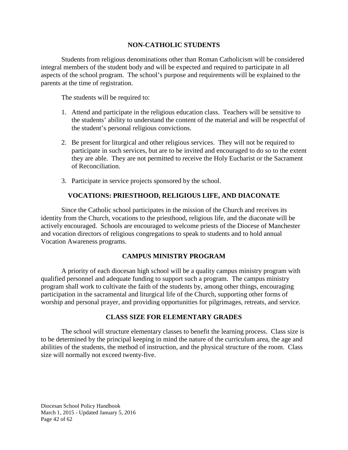## **NON-CATHOLIC STUDENTS**

Students from religious denominations other than Roman Catholicism will be considered integral members of the student body and will be expected and required to participate in all aspects of the school program. The school's purpose and requirements will be explained to the parents at the time of registration.

The students will be required to:

- 1. Attend and participate in the religious education class. Teachers will be sensitive to the students' ability to understand the content of the material and will be respectful of the student's personal religious convictions.
- 2. Be present for liturgical and other religious services. They will not be required to participate in such services, but are to be invited and encouraged to do so to the extent they are able. They are not permitted to receive the Holy Eucharist or the Sacrament of Reconciliation.
- 3. Participate in service projects sponsored by the school.

## **VOCATIONS: PRIESTHOOD, RELIGIOUS LIFE, AND DIACONATE**

Since the Catholic school participates in the mission of the Church and receives its identity from the Church, vocations to the priesthood, religious life, and the diaconate will be actively encouraged. Schools are encouraged to welcome priests of the Diocese of Manchester and vocation directors of religious congregations to speak to students and to hold annual Vocation Awareness programs.

## **CAMPUS MINISTRY PROGRAM**

A priority of each diocesan high school will be a quality campus ministry program with qualified personnel and adequate funding to support such a program. The campus ministry program shall work to cultivate the faith of the students by, among other things, encouraging participation in the sacramental and liturgical life of the Church, supporting other forms of worship and personal prayer, and providing opportunities for pilgrimages, retreats, and service.

## **CLASS SIZE FOR ELEMENTARY GRADES**

The school will structure elementary classes to benefit the learning process. Class size is to be determined by the principal keeping in mind the nature of the curriculum area, the age and abilities of the students, the method of instruction, and the physical structure of the room. Class size will normally not exceed twenty-five.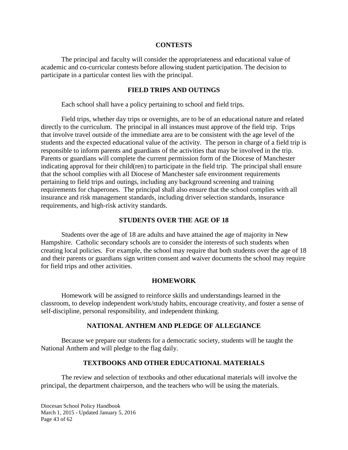#### **CONTESTS**

The principal and faculty will consider the appropriateness and educational value of academic and co-curricular contests before allowing student participation. The decision to participate in a particular contest lies with the principal.

## **FIELD TRIPS AND OUTINGS**

Each school shall have a policy pertaining to school and field trips.

Field trips, whether day trips or overnights, are to be of an educational nature and related directly to the curriculum. The principal in all instances must approve of the field trip. Trips that involve travel outside of the immediate area are to be consistent with the age level of the students and the expected educational value of the activity. The person in charge of a field trip is responsible to inform parents and guardians of the activities that may be involved in the trip. Parents or guardians will complete the current permission form of the Diocese of Manchester indicating approval for their child(ren) to participate in the field trip. The principal shall ensure that the school complies with all Diocese of Manchester safe environment requirements pertaining to field trips and outings, including any background screening and training requirements for chaperones. The principal shall also ensure that the school complies with all insurance and risk management standards, including driver selection standards, insurance requirements, and high-risk activity standards.

## **STUDENTS OVER THE AGE OF 18**

Students over the age of 18 are adults and have attained the age of majority in New Hampshire. Catholic secondary schools are to consider the interests of such students when creating local policies. For example, the school may require that both students over the age of 18 and their parents or guardians sign written consent and waiver documents the school may require for field trips and other activities.

#### **HOMEWORK**

Homework will be assigned to reinforce skills and understandings learned in the classroom, to develop independent work/study habits, encourage creativity, and foster a sense of self-discipline, personal responsibility, and independent thinking.

## **NATIONAL ANTHEM AND PLEDGE OF ALLEGIANCE**

Because we prepare our students for a democratic society, students will be taught the National Anthem and will pledge to the flag daily.

## **TEXTBOOKS AND OTHER EDUCATIONAL MATERIALS**

The review and selection of textbooks and other educational materials will involve the principal, the department chairperson, and the teachers who will be using the materials.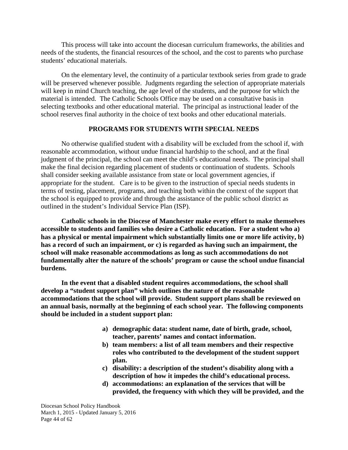This process will take into account the diocesan curriculum frameworks, the abilities and needs of the students, the financial resources of the school, and the cost to parents who purchase students' educational materials.

On the elementary level, the continuity of a particular textbook series from grade to grade will be preserved whenever possible. Judgments regarding the selection of appropriate materials will keep in mind Church teaching, the age level of the students, and the purpose for which the material is intended. The Catholic Schools Office may be used on a consultative basis in selecting textbooks and other educational material. The principal as instructional leader of the school reserves final authority in the choice of text books and other educational materials.

## **PROGRAMS FOR STUDENTS WITH SPECIAL NEEDS**

No otherwise qualified student with a disability will be excluded from the school if, with reasonable accommodation, without undue financial hardship to the school, and at the final judgment of the principal, the school can meet the child's educational needs. The principal shall make the final decision regarding placement of students or continuation of students. Schools shall consider seeking available assistance from state or local government agencies, if appropriate for the student. Care is to be given to the instruction of special needs students in terms of testing, placement, programs, and teaching both within the context of the support that the school is equipped to provide and through the assistance of the public school district as outlined in the student's Individual Service Plan (ISP).

**Catholic schools in the Diocese of Manchester make every effort to make themselves accessible to students and families who desire a Catholic education. For a student who a) has a physical or mental impairment which substantially limits one or more life activity, b) has a record of such an impairment, or c) is regarded as having such an impairment, the school will make reasonable accommodations as long as such accommodations do not fundamentally alter the nature of the schools' program or cause the school undue financial burdens.**

**In the event that a disabled student requires accommodations, the school shall develop a "student support plan" which outlines the nature of the reasonable accommodations that the school will provide. Student support plans shall be reviewed on an annual basis, normally at the beginning of each school year. The following components should be included in a student support plan:**

- **a) demographic data: student name, date of birth, grade, school, teacher, parents' names and contact information.**
- **b) team members: a list of all team members and their respective roles who contributed to the development of the student support plan.**
- **c) disability: a description of the student's disability along with a description of how it impedes the child's educational process.**
- **d) accommodations: an explanation of the services that will be provided, the frequency with which they will be provided, and the**

Diocesan School Policy Handbook March 1, 2015 - Updated January 5, 2016 Page 44 of 62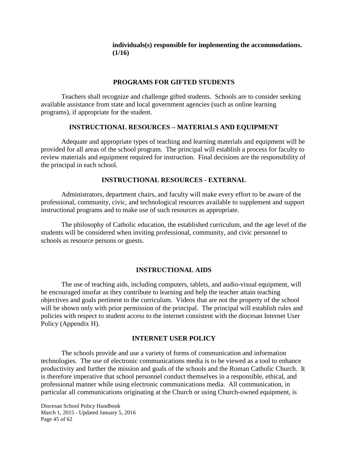## **individuals(s) responsible for implementing the accommodations. (1/16)**

## **PROGRAMS FOR GIFTED STUDENTS**

Teachers shall recognize and challenge gifted students. Schools are to consider seeking available assistance from state and local government agencies (such as online learning programs), if appropriate for the student.

## **INSTRUCTIONAL RESOURCES – MATERIALS AND EQUIPMENT**

Adequate and appropriate types of teaching and learning materials and equipment will be provided for all areas of the school program. The principal will establish a process for faculty to review materials and equipment required for instruction. Final decisions are the responsibility of the principal in each school.

## **INSTRUCTIONAL RESOURCES - EXTERNAL**

Administrators, department chairs, and faculty will make every effort to be aware of the professional, community, civic, and technological resources available to supplement and support instructional programs and to make use of such resources as appropriate.

The philosophy of Catholic education, the established curriculum, and the age level of the students will be considered when inviting professional, community, and civic personnel to schools as resource persons or guests.

#### **INSTRUCTIONAL AIDS**

The use of teaching aids, including computers, tablets, and audio-visual equipment, will be encouraged insofar as they contribute to learning and help the teacher attain teaching objectives and goals pertinent to the curriculum. Videos that are not the property of the school will be shown only with prior permission of the principal. The principal will establish rules and policies with respect to student access to the internet consistent with the diocesan Internet User Policy (Appendix H).

#### **INTERNET USER POLICY**

The schools provide and use a variety of forms of communication and information technologies. The use of electronic communications media is to be viewed as a tool to enhance productivity and further the mission and goals of the schools and the Roman Catholic Church. It is therefore imperative that school personnel conduct themselves in a responsible, ethical, and professional manner while using electronic communications media. All communication, in particular all communications originating at the Church or using Church-owned equipment, is

Diocesan School Policy Handbook March 1, 2015 - Updated January 5, 2016 Page 45 of 62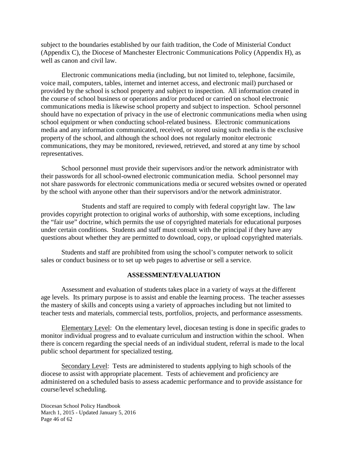subject to the boundaries established by our faith tradition, the Code of Ministerial Conduct (Appendix C), the Diocese of Manchester Electronic Communications Policy (Appendix H), as well as canon and civil law.

Electronic communications media (including, but not limited to, telephone, facsimile, voice mail, computers, tables, internet and internet access, and electronic mail) purchased or provided by the school is school property and subject to inspection. All information created in the course of school business or operations and/or produced or carried on school electronic communications media is likewise school property and subject to inspection. School personnel should have no expectation of privacy in the use of electronic communications media when using school equipment or when conducting school-related business. Electronic communications media and any information communicated, received, or stored using such media is the exclusive property of the school, and although the school does not regularly monitor electronic communications, they may be monitored, reviewed, retrieved, and stored at any time by school representatives.

School personnel must provide their supervisors and/or the network administrator with their passwords for all school-owned electronic communication media. School personnel may not share passwords for electronic communications media or secured websites owned or operated by the school with anyone other than their supervisors and/or the network administrator.

Students and staff are required to comply with federal copyright law. The law provides copyright protection to original works of authorship, with some exceptions, including the "fair use" doctrine, which permits the use of copyrighted materials for educational purposes under certain conditions. Students and staff must consult with the principal if they have any questions about whether they are permitted to download, copy, or upload copyrighted materials.

Students and staff are prohibited from using the school's computer network to solicit sales or conduct business or to set up web pages to advertise or sell a service.

## **ASSESSMENT/EVALUATION**

Assessment and evaluation of students takes place in a variety of ways at the different age levels. Its primary purpose is to assist and enable the learning process. The teacher assesses the mastery of skills and concepts using a variety of approaches including but not limited to teacher tests and materials, commercial tests, portfolios, projects, and performance assessments.

Elementary Level: On the elementary level, diocesan testing is done in specific grades to monitor individual progress and to evaluate curriculum and instruction within the school. When there is concern regarding the special needs of an individual student, referral is made to the local public school department for specialized testing.

Secondary Level: Tests are administered to students applying to high schools of the diocese to assist with appropriate placement. Tests of achievement and proficiency are administered on a scheduled basis to assess academic performance and to provide assistance for course/level scheduling.

Diocesan School Policy Handbook March 1, 2015 - Updated January 5, 2016 Page 46 of 62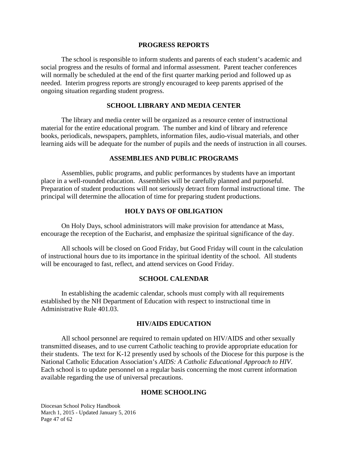#### **PROGRESS REPORTS**

The school is responsible to inform students and parents of each student's academic and social progress and the results of formal and informal assessment. Parent teacher conferences will normally be scheduled at the end of the first quarter marking period and followed up as needed. Interim progress reports are strongly encouraged to keep parents apprised of the ongoing situation regarding student progress.

## **SCHOOL LIBRARY AND MEDIA CENTER**

The library and media center will be organized as a resource center of instructional material for the entire educational program. The number and kind of library and reference books, periodicals, newspapers, pamphlets, information files, audio-visual materials, and other learning aids will be adequate for the number of pupils and the needs of instruction in all courses.

#### **ASSEMBLIES AND PUBLIC PROGRAMS**

Assemblies, public programs, and public performances by students have an important place in a well-rounded education. Assemblies will be carefully planned and purposeful. Preparation of student productions will not seriously detract from formal instructional time. The principal will determine the allocation of time for preparing student productions.

#### **HOLY DAYS OF OBLIGATION**

On Holy Days, school administrators will make provision for attendance at Mass, encourage the reception of the Eucharist, and emphasize the spiritual significance of the day.

All schools will be closed on Good Friday, but Good Friday will count in the calculation of instructional hours due to its importance in the spiritual identity of the school. All students will be encouraged to fast, reflect, and attend services on Good Friday.

#### **SCHOOL CALENDAR**

In establishing the academic calendar, schools must comply with all requirements established by the NH Department of Education with respect to instructional time in Administrative Rule 401.03.

#### **HIV/AIDS EDUCATION**

All school personnel are required to remain updated on HIV/AIDS and other sexually transmitted diseases, and to use current Catholic teaching to provide appropriate education for their students. The text for K-12 presently used by schools of the Diocese for this purpose is the National Catholic Education Association's *AIDS: A Catholic Educational Approach to HIV*. Each school is to update personnel on a regular basis concerning the most current information available regarding the use of universal precautions.

#### **HOME SCHOOLING**

Diocesan School Policy Handbook March 1, 2015 - Updated January 5, 2016 Page 47 of 62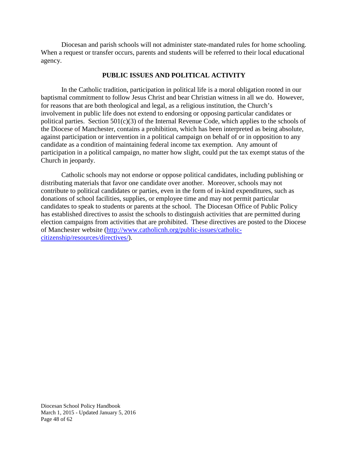Diocesan and parish schools will not administer state-mandated rules for home schooling. When a request or transfer occurs, parents and students will be referred to their local educational agency.

## **PUBLIC ISSUES AND POLITICAL ACTIVITY**

In the Catholic tradition, participation in political life is a moral obligation rooted in our baptismal commitment to follow Jesus Christ and bear Christian witness in all we do. However, for reasons that are both theological and legal, as a religious institution, the Church's involvement in public life does not extend to endorsing or opposing particular candidates or political parties. Section  $501(c)(3)$  of the Internal Revenue Code, which applies to the schools of the Diocese of Manchester, contains a prohibition, which has been interpreted as being absolute, against participation or intervention in a political campaign on behalf of or in opposition to any candidate as a condition of maintaining federal income tax exemption. Any amount of participation in a political campaign, no matter how slight, could put the tax exempt status of the Church in jeopardy.

Catholic schools may not endorse or oppose political candidates, including publishing or distributing materials that favor one candidate over another. Moreover, schools may not contribute to political candidates or parties, even in the form of in-kind expenditures, such as donations of school facilities, supplies, or employee time and may not permit particular candidates to speak to students or parents at the school. The Diocesan Office of Public Policy has established directives to assist the schools to distinguish activities that are permitted during election campaigns from activities that are prohibited. These directives are posted to the Diocese of Manchester website [\(http://www.catholicnh.org/public-issues/catholic](http://www.catholicnh.org/public-issues/catholic-citizenship/resources/directives/)[citizenship/resources/directives/\)](http://www.catholicnh.org/public-issues/catholic-citizenship/resources/directives/).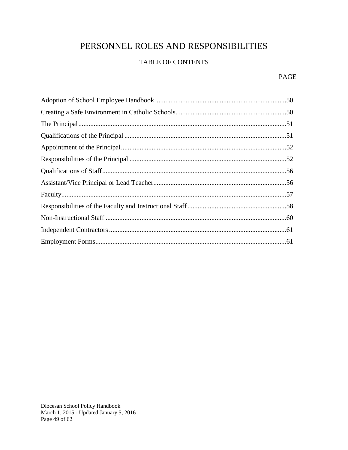# PERSONNEL ROLES AND RESPONSIBILITIES

## TABLE OF CONTENTS

## **PAGE**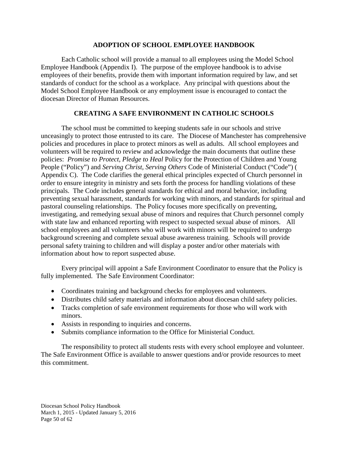## **ADOPTION OF SCHOOL EMPLOYEE HANDBOOK**

Each Catholic school will provide a manual to all employees using the Model School Employee Handbook (Appendix I). The purpose of the employee handbook is to advise employees of their benefits, provide them with important information required by law, and set standards of conduct for the school as a workplace. Any principal with questions about the Model School Employee Handbook or any employment issue is encouraged to contact the diocesan Director of Human Resources.

## **CREATING A SAFE ENVIRONMENT IN CATHOLIC SCHOOLS**

The school must be committed to keeping students safe in our schools and strive unceasingly to protect those entrusted to its care. The Diocese of Manchester has comprehensive policies and procedures in place to protect minors as well as adults. All school employees and volunteers will be required to review and acknowledge the main documents that outline these policies: *Promise to Protect, Pledge to Heal* Policy for the Protection of Children and Young People ("Policy") and *Serving Christ, Serving Others* Code of Ministerial Conduct ("Code") ( Appendix C). The Code clarifies the general ethical principles expected of Church personnel in order to ensure integrity in ministry and sets forth the process for handling violations of these principals. The Code includes general standards for ethical and moral behavior, including preventing sexual harassment, standards for working with minors, and standards for spiritual and pastoral counseling relationships. The Policy focuses more specifically on preventing, investigating, and remedying sexual abuse of minors and requires that Church personnel comply with state law and enhanced reporting with respect to suspected sexual abuse of minors. All school employees and all volunteers who will work with minors will be required to undergo background screening and complete sexual abuse awareness training. Schools will provide personal safety training to children and will display a poster and/or other materials with information about how to report suspected abuse.

Every principal will appoint a Safe Environment Coordinator to ensure that the Policy is fully implemented. The Safe Environment Coordinator:

- Coordinates training and background checks for employees and volunteers.
- Distributes child safety materials and information about diocesan child safety policies.
- Tracks completion of safe environment requirements for those who will work with minors.
- Assists in responding to inquiries and concerns.
- Submits compliance information to the Office for Ministerial Conduct.

The responsibility to protect all students rests with every school employee and volunteer. The Safe Environment Office is available to answer questions and/or provide resources to meet this commitment.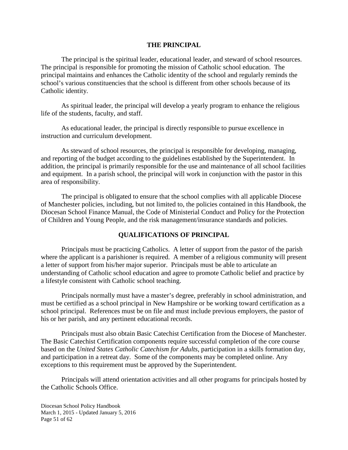## **THE PRINCIPAL**

The principal is the spiritual leader, educational leader, and steward of school resources. The principal is responsible for promoting the mission of Catholic school education. The principal maintains and enhances the Catholic identity of the school and regularly reminds the school's various constituencies that the school is different from other schools because of its Catholic identity.

As spiritual leader, the principal will develop a yearly program to enhance the religious life of the students, faculty, and staff.

As educational leader, the principal is directly responsible to pursue excellence in instruction and curriculum development.

As steward of school resources, the principal is responsible for developing, managing, and reporting of the budget according to the guidelines established by the Superintendent. In addition, the principal is primarily responsible for the use and maintenance of all school facilities and equipment. In a parish school, the principal will work in conjunction with the pastor in this area of responsibility.

The principal is obligated to ensure that the school complies with all applicable Diocese of Manchester policies, including, but not limited to, the policies contained in this Handbook, the Diocesan School Finance Manual, the Code of Ministerial Conduct and Policy for the Protection of Children and Young People, and the risk management/insurance standards and policies.

## **QUALIFICATIONS OF PRINCIPAL**

Principals must be practicing Catholics. A letter of support from the pastor of the parish where the applicant is a parishioner is required. A member of a religious community will present a letter of support from his/her major superior. Principals must be able to articulate an understanding of Catholic school education and agree to promote Catholic belief and practice by a lifestyle consistent with Catholic school teaching.

Principals normally must have a master's degree, preferably in school administration, and must be certified as a school principal in New Hampshire or be working toward certification as a school principal. References must be on file and must include previous employers, the pastor of his or her parish, and any pertinent educational records.

Principals must also obtain Basic Catechist Certification from the Diocese of Manchester. The Basic Catechist Certification components require successful completion of the core course based on the *United States Catholic Catechism for Adults*, participation in a skills formation day, and participation in a retreat day. Some of the components may be completed online. Any exceptions to this requirement must be approved by the Superintendent.

Principals will attend orientation activities and all other programs for principals hosted by the Catholic Schools Office.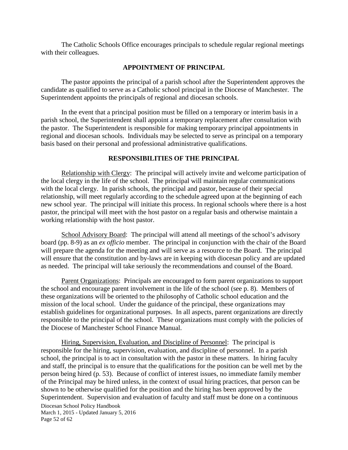The Catholic Schools Office encourages principals to schedule regular regional meetings with their colleagues.

## **APPOINTMENT OF PRINCIPAL**

The pastor appoints the principal of a parish school after the Superintendent approves the candidate as qualified to serve as a Catholic school principal in the Diocese of Manchester. The Superintendent appoints the principals of regional and diocesan schools.

In the event that a principal position must be filled on a temporary or interim basis in a parish school, the Superintendent shall appoint a temporary replacement after consultation with the pastor. The Superintendent is responsible for making temporary principal appointments in regional and diocesan schools. Individuals may be selected to serve as principal on a temporary basis based on their personal and professional administrative qualifications.

## **RESPONSIBILITIES OF THE PRINCIPAL**

Relationship with Clergy: The principal will actively invite and welcome participation of the local clergy in the life of the school. The principal will maintain regular communications with the local clergy. In parish schools, the principal and pastor, because of their special relationship, will meet regularly according to the schedule agreed upon at the beginning of each new school year. The principal will initiate this process. In regional schools where there is a host pastor, the principal will meet with the host pastor on a regular basis and otherwise maintain a working relationship with the host pastor.

School Advisory Board: The principal will attend all meetings of the school's advisory board (pp. 8-9) as an *ex officio* member. The principal in conjunction with the chair of the Board will prepare the agenda for the meeting and will serve as a resource to the Board. The principal will ensure that the constitution and by-laws are in keeping with diocesan policy and are updated as needed. The principal will take seriously the recommendations and counsel of the Board.

Parent Organizations: Principals are encouraged to form parent organizations to support the school and encourage parent involvement in the life of the school (see p. 8). Members of these organizations will be oriented to the philosophy of Catholic school education and the mission of the local school. Under the guidance of the principal, these organizations may establish guidelines for organizational purposes. In all aspects, parent organizations are directly responsible to the principal of the school. These organizations must comply with the policies of the Diocese of Manchester School Finance Manual.

Diocesan School Policy Handbook March 1, 2015 - Updated January 5, 2016 Page 52 of 62 Hiring, Supervision, Evaluation, and Discipline of Personnel: The principal is responsible for the hiring, supervision, evaluation, and discipline of personnel. In a parish school, the principal is to act in consultation with the pastor in these matters. In hiring faculty and staff, the principal is to ensure that the qualifications for the position can be well met by the person being hired (p. 53). Because of conflict of interest issues, no immediate family member of the Principal may be hired unless, in the context of usual hiring practices, that person can be shown to be otherwise qualified for the position and the hiring has been approved by the Superintendent. Supervision and evaluation of faculty and staff must be done on a continuous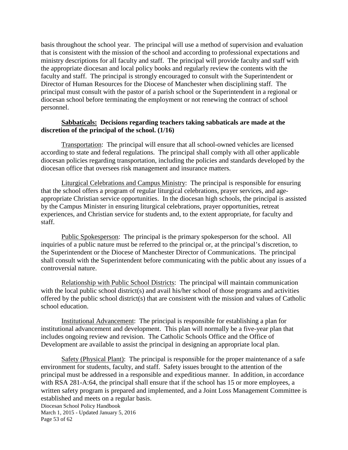basis throughout the school year. The principal will use a method of supervision and evaluation that is consistent with the mission of the school and according to professional expectations and ministry descriptions for all faculty and staff. The principal will provide faculty and staff with the appropriate diocesan and local policy books and regularly review the contents with the faculty and staff. The principal is strongly encouraged to consult with the Superintendent or Director of Human Resources for the Diocese of Manchester when disciplining staff. The principal must consult with the pastor of a parish school or the Superintendent in a regional or diocesan school before terminating the employment or not renewing the contract of school personnel.

## **Sabbaticals: Decisions regarding teachers taking sabbaticals are made at the discretion of the principal of the school. (1/16)**

Transportation: The principal will ensure that all school-owned vehicles are licensed according to state and federal regulations. The principal shall comply with all other applicable diocesan policies regarding transportation, including the policies and standards developed by the diocesan office that oversees risk management and insurance matters.

Liturgical Celebrations and Campus Ministry: The principal is responsible for ensuring that the school offers a program of regular liturgical celebrations, prayer services, and ageappropriate Christian service opportunities. In the diocesan high schools, the principal is assisted by the Campus Minister in ensuring liturgical celebrations, prayer opportunities, retreat experiences, and Christian service for students and, to the extent appropriate, for faculty and staff.

Public Spokesperson: The principal is the primary spokesperson for the school. All inquiries of a public nature must be referred to the principal or, at the principal's discretion, to the Superintendent or the Diocese of Manchester Director of Communications. The principal shall consult with the Superintendent before communicating with the public about any issues of a controversial nature.

Relationship with Public School Districts: The principal will maintain communication with the local public school district(s) and avail his/her school of those programs and activities offered by the public school district(s) that are consistent with the mission and values of Catholic school education.

Institutional Advancement: The principal is responsible for establishing a plan for institutional advancement and development. This plan will normally be a five-year plan that includes ongoing review and revision. The Catholic Schools Office and the Office of Development are available to assist the principal in designing an appropriate local plan.

Safety (Physical Plant): The principal is responsible for the proper maintenance of a safe environment for students, faculty, and staff. Safety issues brought to the attention of the principal must be addressed in a responsible and expeditious manner. In addition, in accordance with RSA 281-A:64, the principal shall ensure that if the school has 15 or more employees, a written safety program is prepared and implemented, and a Joint Loss Management Committee is established and meets on a regular basis.

Diocesan School Policy Handbook March 1, 2015 - Updated January 5, 2016 Page 53 of 62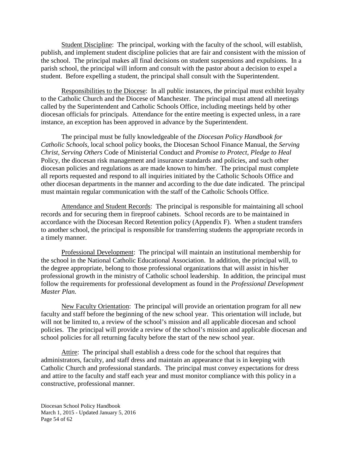Student Discipline: The principal, working with the faculty of the school, will establish, publish, and implement student discipline policies that are fair and consistent with the mission of the school. The principal makes all final decisions on student suspensions and expulsions. In a parish school, the principal will inform and consult with the pastor about a decision to expel a student. Before expelling a student, the principal shall consult with the Superintendent.

Responsibilities to the Diocese: In all public instances, the principal must exhibit loyalty to the Catholic Church and the Diocese of Manchester. The principal must attend all meetings called by the Superintendent and Catholic Schools Office, including meetings held by other diocesan officials for principals. Attendance for the entire meeting is expected unless, in a rare instance, an exception has been approved in advance by the Superintendent.

The principal must be fully knowledgeable of the *Diocesan Policy Handbook for Catholic Schools*, local school policy books, the Diocesan School Finance Manual, the *Serving Christ, Serving Others* Code of Ministerial Conduct and *Promise to Protect, Pledge to Heal* Policy, the diocesan risk management and insurance standards and policies, and such other diocesan policies and regulations as are made known to him/her. The principal must complete all reports requested and respond to all inquiries initiated by the Catholic Schools Office and other diocesan departments in the manner and according to the due date indicated. The principal must maintain regular communication with the staff of the Catholic Schools Office.

Attendance and Student Records: The principal is responsible for maintaining all school records and for securing them in fireproof cabinets. School records are to be maintained in accordance with the Diocesan Record Retention policy (Appendix F). When a student transfers to another school, the principal is responsible for transferring students the appropriate records in a timely manner.

Professional Development: The principal will maintain an institutional membership for the school in the National Catholic Educational Association. In addition, the principal will, to the degree appropriate, belong to those professional organizations that will assist in his/her professional growth in the ministry of Catholic school leadership. In addition, the principal must follow the requirements for professional development as found in the *Professional Development Master Plan.*

New Faculty Orientation: The principal will provide an orientation program for all new faculty and staff before the beginning of the new school year. This orientation will include, but will not be limited to, a review of the school's mission and all applicable diocesan and school policies. The principal will provide a review of the school's mission and applicable diocesan and school policies for all returning faculty before the start of the new school year.

Attire: The principal shall establish a dress code for the school that requires that administrators, faculty, and staff dress and maintain an appearance that is in keeping with Catholic Church and professional standards. The principal must convey expectations for dress and attire to the faculty and staff each year and must monitor compliance with this policy in a constructive, professional manner.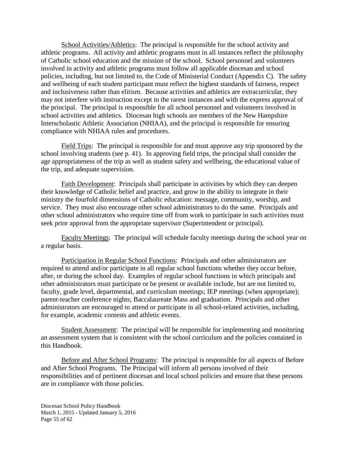School Activities/Athletics: The principal is responsible for the school activity and athletic programs. All activity and athletic programs must in all instances reflect the philosophy of Catholic school education and the mission of the school. School personnel and volunteers involved in activity and athletic programs must follow all applicable diocesan and school policies, including, but not limited to, the Code of Ministerial Conduct (Appendix C). The safety and wellbeing of each student participant must reflect the highest standards of fairness, respect and inclusiveness rather than elitism. Because activities and athletics are extracurricular, they may not interfere with instruction except in the rarest instances and with the express approval of the principal. The principal is responsible for all school personnel and volunteers involved in school activities and athletics. Diocesan high schools are members of the New Hampshire Interscholastic Athletic Association (NHIAA), and the principal is responsible for ensuring compliance with NHIAA rules and procedures.

Field Trips: The principal is responsible for and must approve any trip sponsored by the school involving students (see p. 41). In approving field trips, the principal shall consider the age appropriateness of the trip as well as student safety and wellbeing, the educational value of the trip, and adequate supervision.

Faith Development: Principals shall participate in activities by which they can deepen their knowledge of Catholic belief and practice, and grow in the ability to integrate in their ministry the fourfold dimensions of Catholic education: message, community, worship, and service. They must also encourage other school administrators to do the same. Principals and other school administrators who require time off from work to participate in such activities must seek prior approval from the appropriate supervisor (Superintendent or principal).

Faculty Meetings: The principal will schedule faculty meetings during the school year on a regular basis.

Participation in Regular School Functions: Principals and other administrators are required to attend and/or participate in all regular school functions whether they occur before, after, or during the school day. Examples of regular school functions in which principals and other administrators must participate or be present or available include, but are not limited to, faculty, grade level, departmental, and curriculum meetings; IEP meetings (when appropriate); parent-teacher conference nights; Baccalaureate Mass and graduation. Principals and other administrators are encouraged to attend or participate in all school-related activities, including, for example, academic contests and athletic events.

Student Assessment: The principal will be responsible for implementing and monitoring an assessment system that is consistent with the school curriculum and the policies contained in this Handbook.

Before and After School Programs: The principal is responsible for all aspects of Before and After School Programs. The Principal will inform all persons involved of their responsibilities and of pertinent diocesan and local school policies and ensure that these persons are in compliance with those policies.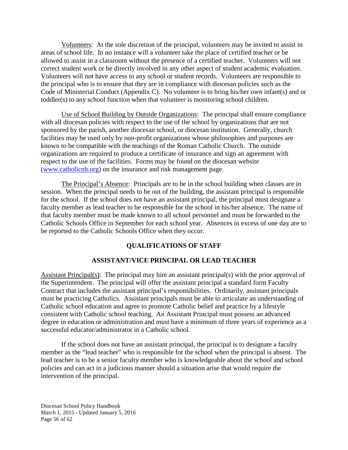Volunteers: At the sole discretion of the principal, volunteers may be invited to assist in areas of school life. In no instance will a volunteer take the place of certified teacher or be allowed to assist in a classroom without the presence of a certified teacher. Volunteers will not correct student work or be directly involved in any other aspect of student academic evaluation. Volunteers will not have access to any school or student records. Volunteers are responsible to the principal who is to ensure that they are in compliance with diocesan policies such as the Code of Ministerial Conduct (Appendix C). No volunteer is to bring his/her own infant(s) and or toddler(s) to any school function when that volunteer is monitoring school children.

Use of School Building by Outside Organizations: The principal shall ensure compliance with all diocesan policies with respect to the use of the school by organizations that are not sponsored by the parish, another diocesan school, or diocesan institution. Generally, church facilities may be used only by non-profit organizations whose philosophies and purposes are known to be compatible with the teachings of the Roman Catholic Church. The outside organizations are required to produce a certificate of insurance and sign an agreement with respect to the use of the facilities. Forms may be found on the diocesan website [\(www.catholicnh.org\)](http://www.catholicnh.org/) on the insurance and risk management page.

The Principal's Absence: Principals are to be in the school building when classes are in session. When the principal needs to be out of the building, the assistant principal is responsible for the school. If the school does not have an assistant principal, the principal must designate a faculty member as lead teacher to be responsible for the school in his/her absence. The name of that faculty member must be made known to all school personnel and must be forwarded to the Catholic Schools Office in September for each school year. Absences in excess of one day are to be reported to the Catholic Schools Office when they occur.

## **QUALIFICATIONS OF STAFF**

## **ASSISTANT/VICE PRINCIPAL OR LEAD TEACHER**

Assistant Principal(s): The principal may hire an assistant principal(s) with the prior approval of the Superintendent. The principal will offer the assistant principal a standard form Faculty Contract that includes the assistant principal's responsibilities. Ordinarily, assistant principals must be practicing Catholics. Assistant principals must be able to articulate an understanding of Catholic school education and agree to promote Catholic belief and practice by a lifestyle consistent with Catholic school teaching. An Assistant Principal must possess an advanced degree in education or administration and must have a minimum of three years of experience as a successful educator/administrator in a Catholic school.

If the school does not have an assistant principal, the principal is to designate a faculty member as the "lead teacher" who is responsible for the school when the principal is absent. The lead teacher is to be a senior faculty member who is knowledgeable about the school and school policies and can act in a judicious manner should a situation arise that would require the intervention of the principal.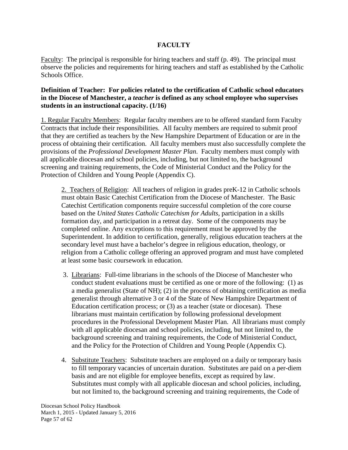## **FACULTY**

Faculty: The principal is responsible for hiring teachers and staff (p. 49). The principal must observe the policies and requirements for hiring teachers and staff as established by the Catholic Schools Office.

## **Definition of Teacher: For policies related to the certification of Catholic school educators in the Diocese of Manchester, a** *teacher* **is defined as any school employee who supervises students in an instructional capacity. (1/16)**

1. Regular Faculty Members: Regular faculty members are to be offered standard form Faculty Contracts that include their responsibilities. All faculty members are required to submit proof that they are certified as teachers by the New Hampshire Department of Education or are in the process of obtaining their certification. All faculty members must also successfully complete the provisions of the *Professional Development Master Plan*. Faculty members must comply with all applicable diocesan and school policies, including, but not limited to, the background screening and training requirements, the Code of Ministerial Conduct and the Policy for the Protection of Children and Young People (Appendix C).

2. Teachers of Religion: All teachers of religion in grades preK-12 in Catholic schools must obtain Basic Catechist Certification from the Diocese of Manchester. The Basic Catechist Certification components require successful completion of the core course based on the *United States Catholic Catechism for Adults*, participation in a skills formation day, and participation in a retreat day. Some of the components may be completed online. Any exceptions to this requirement must be approved by the Superintendent. In addition to certification, generally, religious education teachers at the secondary level must have a bachelor's degree in religious education, theology, or religion from a Catholic college offering an approved program and must have completed at least some basic coursework in education.

- 3. Librarians: Full-time librarians in the schools of the Diocese of Manchester who conduct student evaluations must be certified as one or more of the following: (1) as a media generalist (State of NH); (2) in the process of obtaining certification as media generalist through alternative 3 or 4 of the State of New Hampshire Department of Education certification process; or (3) as a teacher (state or diocesan). These librarians must maintain certification by following professional development procedures in the Professional Development Master Plan. All librarians must comply with all applicable diocesan and school policies, including, but not limited to, the background screening and training requirements, the Code of Ministerial Conduct, and the Policy for the Protection of Children and Young People (Appendix C).
- 4. Substitute Teachers: Substitute teachers are employed on a daily or temporary basis to fill temporary vacancies of uncertain duration. Substitutes are paid on a per-diem basis and are not eligible for employee benefits, except as required by law. Substitutes must comply with all applicable diocesan and school policies, including, but not limited to, the background screening and training requirements, the Code of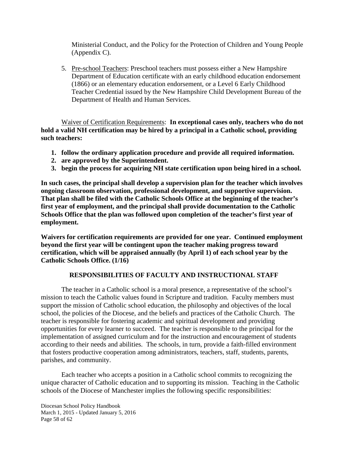Ministerial Conduct, and the Policy for the Protection of Children and Young People (Appendix C).

5. Pre-school Teachers: Preschool teachers must possess either a New Hampshire Department of Education certificate with an early childhood education endorsement (1866) or an elementary education endorsement, or a Level 6 Early Childhood Teacher Credential issued by the New Hampshire Child Development Bureau of the Department of Health and Human Services.

Waiver of Certification Requirements: **In exceptional cases only, teachers who do not hold a valid NH certification may be hired by a principal in a Catholic school, providing such teachers:**

- **1. follow the ordinary application procedure and provide all required information.**
- **2. are approved by the Superintendent.**
- **3. begin the process for acquiring NH state certification upon being hired in a school.**

**In such cases, the principal shall develop a supervision plan for the teacher which involves ongoing classroom observation, professional development, and supportive supervision. That plan shall be filed with the Catholic Schools Office at the beginning of the teacher's first year of employment, and the principal shall provide documentation to the Catholic Schools Office that the plan was followed upon completion of the teacher's first year of employment.**

**Waivers for certification requirements are provided for one year. Continued employment beyond the first year will be contingent upon the teacher making progress toward certification, which will be appraised annually (by April 1) of each school year by the Catholic Schools Office. (1/16)**

## **RESPONSIBILITIES OF FACULTY AND INSTRUCTIONAL STAFF**

The teacher in a Catholic school is a moral presence, a representative of the school's mission to teach the Catholic values found in Scripture and tradition. Faculty members must support the mission of Catholic school education, the philosophy and objectives of the local school, the policies of the Diocese, and the beliefs and practices of the Catholic Church. The teacher is responsible for fostering academic and spiritual development and providing opportunities for every learner to succeed. The teacher is responsible to the principal for the implementation of assigned curriculum and for the instruction and encouragement of students according to their needs and abilities. The schools, in turn, provide a faith-filled environment that fosters productive cooperation among administrators, teachers, staff, students, parents, parishes, and community.

Each teacher who accepts a position in a Catholic school commits to recognizing the unique character of Catholic education and to supporting its mission. Teaching in the Catholic schools of the Diocese of Manchester implies the following specific responsibilities: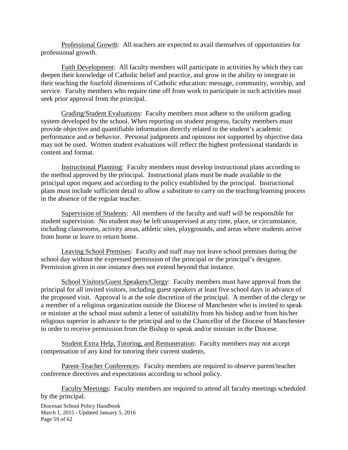Professional Growth: All teachers are expected to avail themselves of opportunities for professional growth.

Faith Development: All faculty members will participate in activities by which they can deepen their knowledge of Catholic belief and practice, and grow in the ability to integrate in their teaching the fourfold dimensions of Catholic education: message, community, worship, and service. Faculty members who require time off from work to participate in such activities must seek prior approval from the principal.

Grading/Student Evaluations: Faculty members must adhere to the uniform grading system developed by the school. When reporting on student progress, faculty members must provide objective and quantifiable information directly related to the student's academic performance and or behavior. Personal judgments and opinions not supported by objective data may not be used. Written student evaluations will reflect the highest professional standards in content and format.

Instructional Planning: Faculty members must develop instructional plans according to the method approved by the principal. Instructional plans must be made available to the principal upon request and according to the policy established by the principal. Instructional plans must include sufficient detail to allow a substitute to carry on the teaching/learning process in the absence of the regular teacher.

Supervision of Students: All members of the faculty and staff will be responsible for student supervision. No student may be left unsupervised at any time, place, or circumstance, including classrooms, activity areas, athletic sites, playgrounds, and areas where students arrive from home or leave to return home.

Leaving School Premises: Faculty and staff may not leave school premises during the school day without the expressed permission of the principal or the principal's designee. Permission given in one instance does not extend beyond that instance.

School Visitors/Guest Speakers/Clergy: Faculty members must have approval from the principal for all invited visitors, including guest speakers at least five school days in advance of the proposed visit. Approval is at the sole discretion of the principal. A member of the clergy or a member of a religious organization outside the Diocese of Manchester who is invited to speak or minister at the school must submit a letter of suitability from his bishop and/or from his/her religious superior in advance to the principal and to the Chancellor of the Diocese of Manchester in order to receive permission from the Bishop to speak and/or minister in the Diocese.

Student Extra Help, Tutoring, and Remuneration: Faculty members may not accept compensation of any kind for tutoring their current students.

Parent-Teacher Conferences: Faculty members are required to observe parent/teacher conference directives and expectations according to school policy.

Faculty Meetings: Faculty members are required to attend all faculty meetings scheduled by the principal.

Diocesan School Policy Handbook March 1, 2015 - Updated January 5, 2016 Page 59 of 62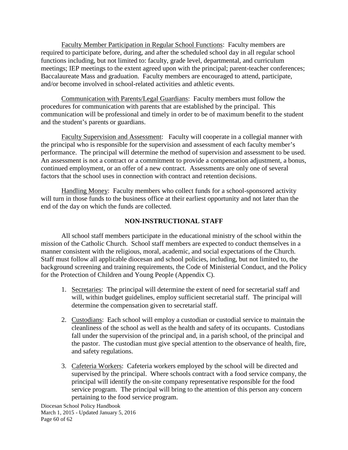Faculty Member Participation in Regular School Functions: Faculty members are required to participate before, during, and after the scheduled school day in all regular school functions including, but not limited to: faculty, grade level, departmental, and curriculum meetings; IEP meetings to the extent agreed upon with the principal; parent-teacher conferences; Baccalaureate Mass and graduation. Faculty members are encouraged to attend, participate, and/or become involved in school-related activities and athletic events.

Communication with Parents/Legal Guardians: Faculty members must follow the procedures for communication with parents that are established by the principal. This communication will be professional and timely in order to be of maximum benefit to the student and the student's parents or guardians.

Faculty Supervision and Assessment: Faculty will cooperate in a collegial manner with the principal who is responsible for the supervision and assessment of each faculty member's performance. The principal will determine the method of supervision and assessment to be used. An assessment is not a contract or a commitment to provide a compensation adjustment, a bonus, continued employment, or an offer of a new contract. Assessments are only one of several factors that the school uses in connection with contract and retention decisions.

Handling Money: Faculty members who collect funds for a school-sponsored activity will turn in those funds to the business office at their earliest opportunity and not later than the end of the day on which the funds are collected.

## **NON-INSTRUCTIONAL STAFF**

All school staff members participate in the educational ministry of the school within the mission of the Catholic Church. School staff members are expected to conduct themselves in a manner consistent with the religious, moral, academic, and social expectations of the Church. Staff must follow all applicable diocesan and school policies, including, but not limited to, the background screening and training requirements, the Code of Ministerial Conduct, and the Policy for the Protection of Children and Young People (Appendix C).

- 1. Secretaries: The principal will determine the extent of need for secretarial staff and will, within budget guidelines, employ sufficient secretarial staff. The principal will determine the compensation given to secretarial staff.
- 2. Custodians: Each school will employ a custodian or custodial service to maintain the cleanliness of the school as well as the health and safety of its occupants. Custodians fall under the supervision of the principal and, in a parish school, of the principal and the pastor. The custodian must give special attention to the observance of health, fire, and safety regulations.
- 3. Cafeteria Workers: Cafeteria workers employed by the school will be directed and supervised by the principal. Where schools contract with a food service company, the principal will identify the on-site company representative responsible for the food service program. The principal will bring to the attention of this person any concern pertaining to the food service program.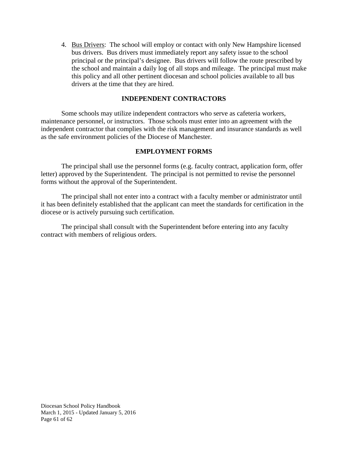4. Bus Drivers: The school will employ or contact with only New Hampshire licensed bus drivers. Bus drivers must immediately report any safety issue to the school principal or the principal's designee. Bus drivers will follow the route prescribed by the school and maintain a daily log of all stops and mileage. The principal must make this policy and all other pertinent diocesan and school policies available to all bus drivers at the time that they are hired.

## **INDEPENDENT CONTRACTORS**

Some schools may utilize independent contractors who serve as cafeteria workers, maintenance personnel, or instructors. Those schools must enter into an agreement with the independent contractor that complies with the risk management and insurance standards as well as the safe environment policies of the Diocese of Manchester.

## **EMPLOYMENT FORMS**

The principal shall use the personnel forms (e.g. faculty contract, application form, offer letter) approved by the Superintendent. The principal is not permitted to revise the personnel forms without the approval of the Superintendent.

The principal shall not enter into a contract with a faculty member or administrator until it has been definitely established that the applicant can meet the standards for certification in the diocese or is actively pursuing such certification.

The principal shall consult with the Superintendent before entering into any faculty contract with members of religious orders.